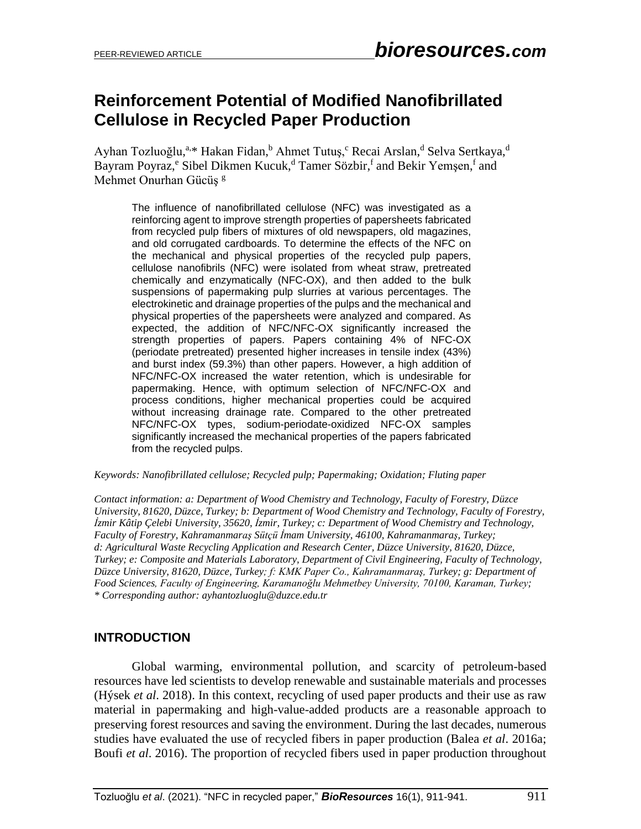# **Reinforcement Potential of Modified Nanofibrillated Cellulose in Recycled Paper Production**

Ayhan Tozluoğlu,<sup>a,\*</sup> Hakan Fidan,<sup>b</sup> Ahmet Tutuş,<sup>c</sup> Recai Arslan,<sup>d</sup> Selva Sertkaya,<sup>d</sup> Bayram Poyraz,<sup>e</sup> Sibel Dikmen Kucuk,<sup>d</sup> Tamer Sözbir,<sup>f</sup> and Bekir Yemşen,<sup>f</sup> and Mehmet Onurhan Gücüş<sup>g</sup>

The influence of nanofibrillated cellulose (NFC) was investigated as a reinforcing agent to improve strength properties of papersheets fabricated from recycled pulp fibers of mixtures of old newspapers, old magazines, and old corrugated cardboards. To determine the effects of the NFC on the mechanical and physical properties of the recycled pulp papers, cellulose nanofibrils (NFC) were isolated from wheat straw, pretreated chemically and enzymatically (NFC-OX), and then added to the bulk suspensions of papermaking pulp slurries at various percentages. The electrokinetic and drainage properties of the pulps and the mechanical and physical properties of the papersheets were analyzed and compared. As expected, the addition of NFC/NFC-OX significantly increased the strength properties of papers. Papers containing 4% of NFC-OX (periodate pretreated) presented higher increases in tensile index (43%) and burst index (59.3%) than other papers. However, a high addition of NFC/NFC-OX increased the water retention, which is undesirable for papermaking. Hence, with optimum selection of NFC/NFC-OX and process conditions, higher mechanical properties could be acquired without increasing drainage rate. Compared to the other pretreated NFC/NFC-OX types, sodium-periodate-oxidized NFC-OX samples significantly increased the mechanical properties of the papers fabricated from the recycled pulps.

#### *Keywords: Nanofibrillated cellulose; Recycled pulp; Papermaking; Oxidation; Fluting paper*

*Contact information: a: Department of Wood Chemistry and Technology, Faculty of Forestry, Düzce University, 81620, Düzce, Turkey; b: Department of Wood Chemistry and Technology, Faculty of Forestry, İzmir Kâtip Çelebi University, 35620, İzmir, Turkey; c: Department of Wood Chemistry and Technology, Faculty of Forestry, Kahramanmaraş Sütçü İmam University, 46100, Kahramanmaraş, Turkey; d: Agricultural Waste Recycling Application and Research Center, Düzce University, 81620, Düzce, Turkey; e: Composite and Materials Laboratory, Department of Civil Engineering, Faculty of Technology, Düzce University, 81620, Düzce, Turkey; f: KMK Paper Co., Kahramanmaraş, Turkey; g: Department of Food Sciences, Faculty of Engineering, Karamanoğlu Mehmetbey University, 70100, Karaman, Turkey; \* Corresponding author: ayhantozluoglu@duzce.edu.tr*

### **INTRODUCTION**

Global warming, environmental pollution, and scarcity of petroleum-based resources have led scientists to develop renewable and sustainable materials and processes (Hýsek *et al*. 2018). In this context, recycling of used paper products and their use as raw material in papermaking and high-value-added products are a reasonable approach to preserving forest resources and saving the environment. During the last decades, numerous studies have evaluated the use of recycled fibers in paper production (Balea *et al*. 2016a; Boufi *et al*. 2016). The proportion of recycled fibers used in paper production throughout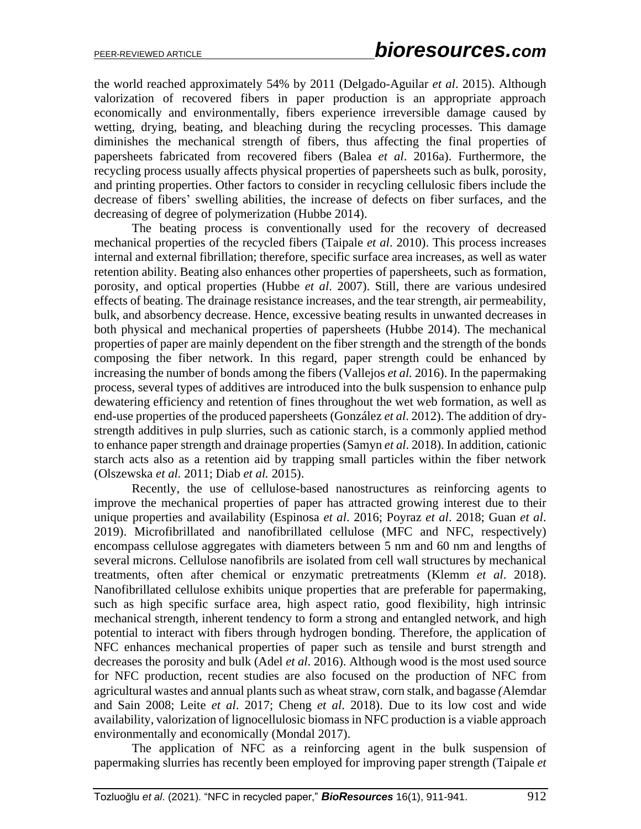the world reached approximately 54% by 2011 (Delgado-Aguilar *et al*. 2015). Although valorization of recovered fibers in paper production is an appropriate approach economically and environmentally, fibers experience irreversible damage caused by wetting, drying, beating, and bleaching during the recycling processes. This damage diminishes the mechanical strength of fibers, thus affecting the final properties of papersheets fabricated from recovered fibers (Balea *et al*. 2016a). Furthermore, the recycling process usually affects physical properties of papersheets such as bulk, porosity, and printing properties. Other factors to consider in recycling cellulosic fibers include the decrease of fibers' swelling abilities, the increase of defects on fiber surfaces, and the decreasing of degree of polymerization (Hubbe 2014).

The beating process is conventionally used for the recovery of decreased mechanical properties of the recycled fibers (Taipale *et al*. 2010). This process increases internal and external fibrillation; therefore, specific surface area increases, as well as water retention ability. Beating also enhances other properties of papersheets, such as formation, porosity, and optical properties (Hubbe *et al*. 2007). Still, there are various undesired effects of beating. The drainage resistance increases, and the tear strength, air permeability, bulk, and absorbency decrease. Hence, excessive beating results in unwanted decreases in both physical and mechanical properties of papersheets (Hubbe 2014). The mechanical properties of paper are mainly dependent on the fiber strength and the strength of the bonds composing the fiber network. In this regard, paper strength could be enhanced by increasing the number of bonds among the fibers (Vallejos *et al.* 2016). In the papermaking process, several types of additives are introduced into the bulk suspension to enhance pulp dewatering efficiency and retention of fines throughout the wet web formation, as well as end-use properties of the produced papersheets (González *et al*. 2012). The addition of drystrength additives in pulp slurries, such as cationic starch, is a commonly applied method to enhance paper strength and drainage properties (Samyn *et al*. 2018). In addition, cationic starch acts also as a retention aid by trapping small particles within the fiber network (Olszewska *et al.* 2011; Diab *et al.* 2015).

Recently, the use of cellulose-based nanostructures as reinforcing agents to improve the mechanical properties of paper has attracted growing interest due to their unique properties and availability (Espinosa *et al*. 2016; Poyraz *et al*. 2018; Guan *et al*. 2019). Microfibrillated and nanofibrillated cellulose (MFC and NFC, respectively) encompass cellulose aggregates with diameters between 5 nm and 60 nm and lengths of several microns. Cellulose nanofibrils are isolated from cell wall structures by mechanical treatments, often after chemical or enzymatic pretreatments (Klemm *et al*. 2018). Nanofibrillated cellulose exhibits unique properties that are preferable for papermaking, such as high specific surface area, high aspect ratio, good flexibility, high intrinsic mechanical strength, inherent tendency to form a strong and entangled network, and high potential to interact with fibers through hydrogen bonding. Therefore, the application of NFC enhances mechanical properties of paper such as tensile and burst strength and decreases the porosity and bulk (Adel *et al*. 2016). Although wood is the most used source for NFC production, recent studies are also focused on the production of NFC from agricultural wastes and annual plants such as wheat straw, corn stalk, and bagasse *(*Alemdar and Sain 2008; Leite *et al*. 2017; Cheng *et al*. 2018). Due to its low cost and wide availability, valorization of lignocellulosic biomass in NFC production is a viable approach environmentally and economically (Mondal 2017).

The application of NFC as a reinforcing agent in the bulk suspension of papermaking slurries has recently been employed for improving paper strength (Taipale *et*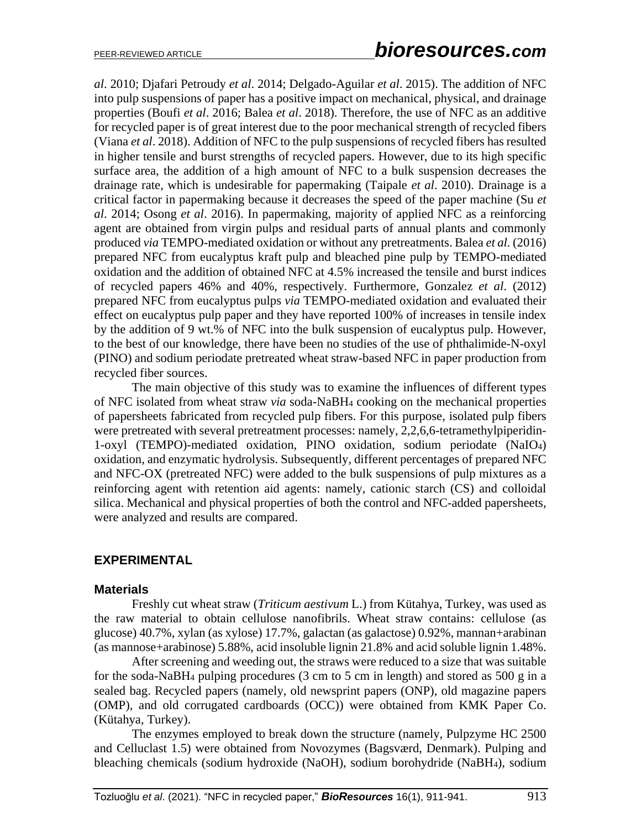*al*. 2010; Djafari Petroudy *et al*. 2014; Delgado-Aguilar *et al*. 2015). The addition of NFC into pulp suspensions of paper has a positive impact on mechanical, physical, and drainage properties (Boufi *et al*. 2016; Balea *et al*. 2018). Therefore, the use of NFC as an additive for recycled paper is of great interest due to the poor mechanical strength of recycled fibers (Viana *et al*. 2018). Addition of NFC to the pulp suspensions of recycled fibers has resulted in higher tensile and burst strengths of recycled papers. However, due to its high specific surface area, the addition of a high amount of NFC to a bulk suspension decreases the drainage rate, which is undesirable for papermaking (Taipale *et al*. 2010). Drainage is a critical factor in papermaking because it decreases the speed of the paper machine (Su *et al*. 2014; Osong *et al*. 2016). In papermaking, majority of applied NFC as a reinforcing agent are obtained from virgin pulps and residual parts of annual plants and commonly produced *via* TEMPO-mediated oxidation or without any pretreatments. Balea *et al.* (2016) prepared NFC from eucalyptus kraft pulp and bleached pine pulp by TEMPO-mediated oxidation and the addition of obtained NFC at 4.5% increased the tensile and burst indices of recycled papers 46% and 40%, respectively. Furthermore, Gonzalez *et al*. (2012) prepared NFC from eucalyptus pulps *via* TEMPO-mediated oxidation and evaluated their effect on eucalyptus pulp paper and they have reported 100% of increases in tensile index by the addition of 9 wt.% of NFC into the bulk suspension of eucalyptus pulp. However, to the best of our knowledge, there have been no studies of the use of phthalimide-N-oxyl (PINO) and sodium periodate pretreated wheat straw-based NFC in paper production from recycled fiber sources.

The main objective of this study was to examine the influences of different types of NFC isolated from wheat straw *via* soda-NaBH<sup>4</sup> cooking on the mechanical properties of papersheets fabricated from recycled pulp fibers. For this purpose, isolated pulp fibers were pretreated with several pretreatment processes: namely, 2,2,6,6-tetramethylpiperidin-1-oxyl (TEMPO)-mediated oxidation, PINO oxidation, sodium periodate (NaIO4) oxidation, and enzymatic hydrolysis. Subsequently, different percentages of prepared NFC and NFC-OX (pretreated NFC) were added to the bulk suspensions of pulp mixtures as a reinforcing agent with retention aid agents: namely, cationic starch (CS) and colloidal silica. Mechanical and physical properties of both the control and NFC-added papersheets, were analyzed and results are compared.

### **EXPERIMENTAL**

### **Materials**

Freshly cut wheat straw (*Triticum aestivum* L.) from Kütahya, Turkey, was used as the raw material to obtain cellulose nanofibrils. Wheat straw contains: cellulose (as glucose) 40.7%, xylan (as xylose) 17.7%, galactan (as galactose) 0.92%, mannan+arabinan (as mannose+arabinose) 5.88%, acid insoluble lignin 21.8% and acid soluble lignin 1.48%.

After screening and weeding out, the straws were reduced to a size that was suitable for the soda-NaBH<sup>4</sup> pulping procedures (3 cm to 5 cm in length) and stored as 500 g in a sealed bag. Recycled papers (namely, old newsprint papers (ONP), old magazine papers (OMP), and old corrugated cardboards (OCC)) were obtained from KMK Paper Co. (Kütahya, Turkey).

The enzymes employed to break down the structure (namely, Pulpzyme HC 2500 and Celluclast 1.5) were obtained from Novozymes (Bagsværd, Denmark). Pulping and bleaching chemicals (sodium hydroxide (NaOH), sodium borohydride (NaBH4), sodium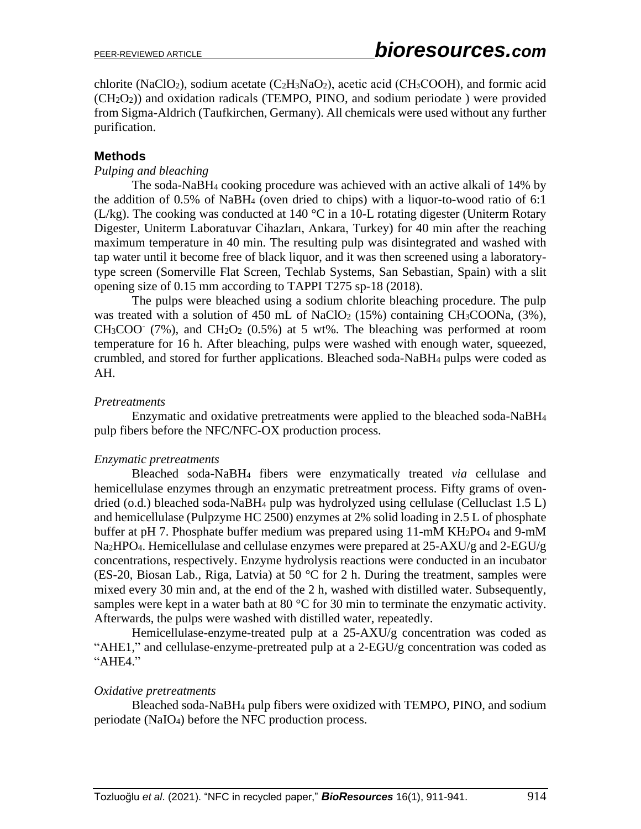chlorite (NaClO<sub>2</sub>), sodium acetate (C<sub>2</sub>H<sub>3</sub>NaO<sub>2</sub>), acetic acid (CH<sub>3</sub>COOH), and formic acid  $(CH<sub>2</sub>O<sub>2</sub>)$ ) and oxidation radicals (TEMPO, PINO, and sodium periodate) were provided from Sigma-Aldrich (Taufkirchen, Germany). All chemicals were used without any further purification.

### **Methods**

### *Pulping and bleaching*

The soda-NaBH<sup>4</sup> cooking procedure was achieved with an active alkali of 14% by the addition of 0.5% of NaBH<sup>4</sup> (oven dried to chips) with a liquor-to-wood ratio of 6:1 (L/kg). The cooking was conducted at 140 °C in a 10-L rotating digester (Uniterm Rotary Digester, Uniterm Laboratuvar Cihazları, Ankara, Turkey) for 40 min after the reaching maximum temperature in 40 min. The resulting pulp was disintegrated and washed with tap water until it become free of black liquor, and it was then screened using a laboratorytype screen (Somerville Flat Screen, Techlab Systems, San Sebastian, Spain) with a slit opening size of 0.15 mm according to TAPPI T275 sp-18 (2018).

The pulps were bleached using a sodium chlorite bleaching procedure. The pulp was treated with a solution of 450 mL of NaClO<sub>2</sub> (15%) containing CH<sub>3</sub>COONa, (3%),  $CH<sub>3</sub>COO<sup>-</sup>$  (7%), and  $CH<sub>2</sub>O<sub>2</sub>$  (0.5%) at 5 wt%. The bleaching was performed at room temperature for 16 h. After bleaching, pulps were washed with enough water, squeezed, crumbled, and stored for further applications. Bleached soda-NaBH<sup>4</sup> pulps were coded as AH.

### *Pretreatments*

Enzymatic and oxidative pretreatments were applied to the bleached soda-NaBH<sup>4</sup> pulp fibers before the NFC/NFC-OX production process.

### *Enzymatic pretreatments*

Bleached soda-NaBH<sup>4</sup> fibers were enzymatically treated *via* cellulase and hemicellulase enzymes through an enzymatic pretreatment process. Fifty grams of ovendried (o.d.) bleached soda-NaBH<sup>4</sup> pulp was hydrolyzed using cellulase (Celluclast 1.5 L) and hemicellulase (Pulpzyme HC 2500) enzymes at 2% solid loading in 2.5 L of phosphate buffer at pH 7. Phosphate buffer medium was prepared using 11-mM KH<sub>2</sub>PO<sub>4</sub> and 9-mM Na2HPO4. Hemicellulase and cellulase enzymes were prepared at 25-AXU/g and 2-EGU/g concentrations, respectively. Enzyme hydrolysis reactions were conducted in an incubator (ES-20, Biosan Lab., Riga, Latvia) at 50 °C for 2 h. During the treatment, samples were mixed every 30 min and, at the end of the 2 h, washed with distilled water. Subsequently, samples were kept in a water bath at 80 °C for 30 min to terminate the enzymatic activity. Afterwards, the pulps were washed with distilled water, repeatedly.

Hemicellulase-enzyme-treated pulp at a 25-AXU/g concentration was coded as "AHE1," and cellulase-enzyme-pretreated pulp at a 2-EGU/g concentration was coded as "AHE4."

#### *Oxidative pretreatments*

Bleached soda-NaBH<sup>4</sup> pulp fibers were oxidized with TEMPO, PINO, and sodium periodate (NaIO4) before the NFC production process.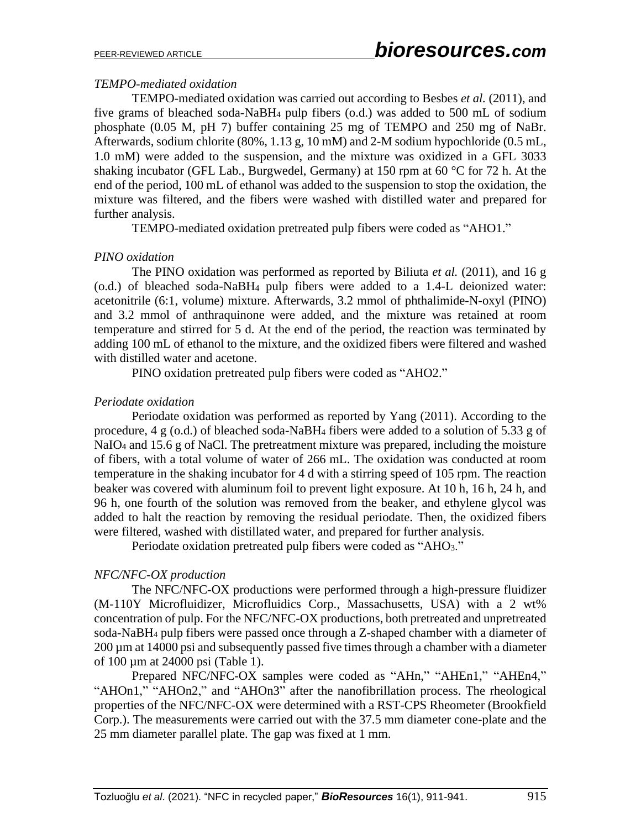### *TEMPO-mediated oxidation*

TEMPO-mediated oxidation was carried out according to Besbes *et al.* (2011), and five grams of bleached soda-NaBH<sup>4</sup> pulp fibers (o.d.) was added to 500 mL of sodium phosphate (0.05 M, pH 7) buffer containing 25 mg of TEMPO and 250 mg of NaBr. Afterwards, sodium chlorite (80%, 1.13 g, 10 mM) and 2-M sodium hypochloride (0.5 mL, 1.0 mM) were added to the suspension, and the mixture was oxidized in a GFL 3033 shaking incubator (GFL Lab., Burgwedel, Germany) at 150 rpm at 60 °C for 72 h. At the end of the period, 100 mL of ethanol was added to the suspension to stop the oxidation, the mixture was filtered, and the fibers were washed with distilled water and prepared for further analysis.

TEMPO-mediated oxidation pretreated pulp fibers were coded as "AHO1."

### *PINO oxidation*

The PINO oxidation was performed as reported by Biliuta *et al.* (2011), and 16 g (o.d.) of bleached soda-NaBH<sup>4</sup> pulp fibers were added to a 1.4-L deionized water: acetonitrile (6:1, volume) mixture. Afterwards, 3.2 mmol of phthalimide-N-oxyl (PINO) and 3.2 mmol of anthraquinone were added, and the mixture was retained at room temperature and stirred for 5 d. At the end of the period, the reaction was terminated by adding 100 mL of ethanol to the mixture, and the oxidized fibers were filtered and washed with distilled water and acetone.

PINO oxidation pretreated pulp fibers were coded as "AHO2."

### *Periodate oxidation*

Periodate oxidation was performed as reported by Yang (2011). According to the procedure, 4 g (o.d.) of bleached soda-NaBH<sup>4</sup> fibers were added to a solution of 5.33 g of NaIO<sub>4</sub> and 15.6 g of NaCl. The pretreatment mixture was prepared, including the moisture of fibers, with a total volume of water of 266 mL. The oxidation was conducted at room temperature in the shaking incubator for 4 d with a stirring speed of 105 rpm. The reaction beaker was covered with aluminum foil to prevent light exposure. At 10 h, 16 h, 24 h, and 96 h, one fourth of the solution was removed from the beaker, and ethylene glycol was added to halt the reaction by removing the residual periodate. Then, the oxidized fibers were filtered, washed with distillated water, and prepared for further analysis.

Periodate oxidation pretreated pulp fibers were coded as "AHO3."

### *NFC/NFC-OX production*

The NFC/NFC-OX productions were performed through a high-pressure fluidizer (M-110Y Microfluidizer, Microfluidics Corp., Massachusetts, USA) with a 2 wt% concentration of pulp. For the NFC/NFC-OX productions, both pretreated and unpretreated soda-NaBH<sup>4</sup> pulp fibers were passed once through a Z-shaped chamber with a diameter of 200 µm at 14000 psi and subsequently passed five times through a chamber with a diameter of 100 µm at 24000 psi (Table 1).

Prepared NFC/NFC-OX samples were coded as "AHn," "AHEn1," "AHEn4," "AHOn1," "AHOn2," and "AHOn3" after the nanofibrillation process. The rheological properties of the NFC/NFC-OX were determined with a RST-CPS Rheometer (Brookfield Corp.). The measurements were carried out with the 37.5 mm diameter cone-plate and the 25 mm diameter parallel plate. The gap was fixed at 1 mm.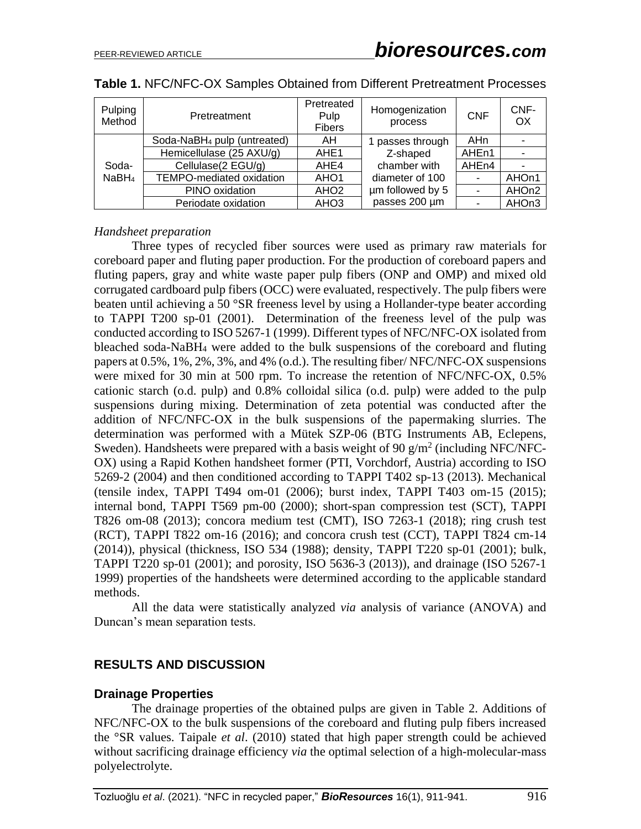| Pulping<br>Method          | Pretreatment                            | Pretreated<br>Pulp<br><b>Fibers</b> | Homogenization<br>process | <b>CNF</b>        | CNF-<br>OX |
|----------------------------|-----------------------------------------|-------------------------------------|---------------------------|-------------------|------------|
| Soda-<br>NaBH <sub>4</sub> | Soda-NaBH <sub>4</sub> pulp (untreated) | AH                                  | 1 passes through          | AHn               |            |
|                            | Hemicellulase (25 AXU/g)                | AHE <sub>1</sub>                    | Z-shaped                  | AHE <sub>n1</sub> |            |
|                            | Cellulase(2 EGU/g)                      | AHE4                                | chamber with              | AHE <sub>n4</sub> |            |
|                            | TEMPO-mediated oxidation                | AHO <sub>1</sub>                    | diameter of 100           |                   | AHOn1      |
|                            | PINO oxidation                          | AHO <sub>2</sub>                    | um followed by 5          |                   | AHOn2      |
|                            | Periodate oxidation                     | AHO <sub>3</sub>                    | passes 200 µm             |                   | AHOn3      |

|  |  |  | Table 1. NFC/NFC-OX Samples Obtained from Different Pretreatment Processes |
|--|--|--|----------------------------------------------------------------------------|
|--|--|--|----------------------------------------------------------------------------|

### *Handsheet preparation*

Three types of recycled fiber sources were used as primary raw materials for coreboard paper and fluting paper production. For the production of coreboard papers and fluting papers, gray and white waste paper pulp fibers (ONP and OMP) and mixed old corrugated cardboard pulp fibers (OCC) were evaluated, respectively. The pulp fibers were beaten until achieving a 50 °SR freeness level by using a Hollander-type beater according to TAPPI T200 sp-01 (2001). Determination of the freeness level of the pulp was conducted according to ISO 5267-1 (1999). Different types of NFC/NFC-OX isolated from bleached soda-NaBH<sup>4</sup> were added to the bulk suspensions of the coreboard and fluting papers at 0.5%, 1%, 2%, 3%, and 4% (o.d.). The resulting fiber/ NFC/NFC-OX suspensions were mixed for 30 min at 500 rpm. To increase the retention of NFC/NFC-OX, 0.5% cationic starch (o.d. pulp) and 0.8% colloidal silica (o.d. pulp) were added to the pulp suspensions during mixing. Determination of zeta potential was conducted after the addition of NFC/NFC-OX in the bulk suspensions of the papermaking slurries. The determination was performed with a Mütek SZP-06 (BTG Instruments AB, Eclepens, Sweden). Handsheets were prepared with a basis weight of 90  $g/m^2$  (including NFC/NFC-OX) using a Rapid Kothen handsheet former (PTI, Vorchdorf, Austria) according to ISO 5269-2 (2004) and then conditioned according to TAPPI T402 sp-13 (2013). Mechanical (tensile index, TAPPI T494 om-01 (2006); burst index, TAPPI T403 om-15 (2015); internal bond, TAPPI T569 pm-00 (2000); short-span compression test (SCT), TAPPI T826 om-08 (2013); concora medium test (CMT), ISO 7263-1 (2018); ring crush test (RCT), TAPPI T822 om-16 (2016); and concora crush test (CCT), TAPPI T824 cm-14 (2014)), physical (thickness, ISO 534 (1988); density, TAPPI T220 sp-01 (2001); bulk, TAPPI T220 sp-01 (2001); and porosity, ISO 5636-3 (2013)), and drainage (ISO 5267-1 1999) properties of the handsheets were determined according to the applicable standard methods.

All the data were statistically analyzed *via* analysis of variance (ANOVA) and Duncan's mean separation tests.

### **RESULTS AND DISCUSSION**

### **Drainage Properties**

The drainage properties of the obtained pulps are given in Table 2. Additions of NFC/NFC-OX to the bulk suspensions of the coreboard and fluting pulp fibers increased the °SR values. Taipale *et al*. (2010) stated that high paper strength could be achieved without sacrificing drainage efficiency *via* the optimal selection of a high-molecular-mass polyelectrolyte.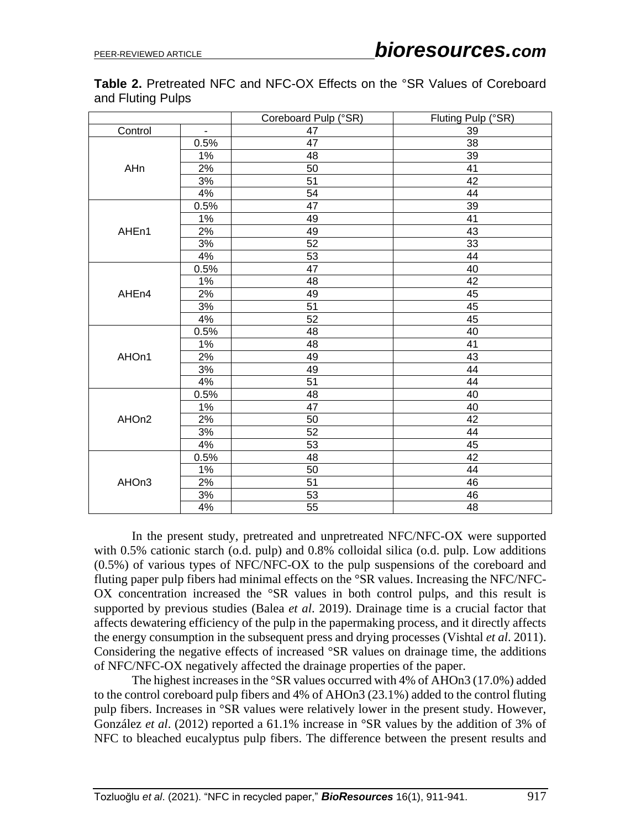**Table 2.** Pretreated NFC and NFC-OX Effects on the °SR Values of Coreboard and Fluting Pulps

|         |                | Coreboard Pulp (°SR) | Fluting Pulp (°SR) |
|---------|----------------|----------------------|--------------------|
| Control | $\overline{a}$ | $\overline{47}$      | 39                 |
|         | 0.5%           | $\overline{47}$      | $\overline{38}$    |
|         | 1%             | 48                   | 39                 |
| AHn     | 2%             | $\overline{50}$      | 41                 |
|         | 3%             | 51                   | 42                 |
|         | 4%             | 54                   | 44                 |
|         | 0.5%           | $\overline{47}$      | 39                 |
|         | 1%             | 49                   | 41                 |
| AHEn1   | 2%             | 49                   | 43                 |
|         | 3%             | 52                   | 33                 |
|         | 4%             | 53                   | 44                 |
|         | 0.5%           | 47                   | 40                 |
|         | 1%             | 48                   | 42                 |
| AHEn4   | 2%             | 49                   | 45                 |
|         | 3%             | 51                   | 45                 |
|         | 4%             | $\overline{52}$      | 45                 |
|         | 0.5%           | 48                   | 40                 |
|         | 1%             | 48                   | 41                 |
| AHOn1   | 2%             | 49                   | 43                 |
|         | 3%             | 49                   | 44                 |
|         | 4%             | 51                   | 44                 |
|         | 0.5%           | 48                   | 40                 |
|         | $1\%$          | 47                   | 40                 |
| AHOn2   | 2%             | 50                   | 42                 |
|         | 3%             | 52                   | $\overline{44}$    |
|         | 4%             | 53                   | 45                 |
|         | 0.5%           | 48                   | 42                 |
|         | $1\%$          | $\overline{50}$      | $\overline{44}$    |
| AHOn3   | 2%             | 51                   | 46                 |
|         | 3%             | 53                   | 46                 |
|         | 4%             | 55                   | $\overline{48}$    |

In the present study, pretreated and unpretreated NFC/NFC-OX were supported with 0.5% cationic starch (o.d. pulp) and 0.8% colloidal silica (o.d. pulp. Low additions (0.5%) of various types of NFC/NFC-OX to the pulp suspensions of the coreboard and fluting paper pulp fibers had minimal effects on the °SR values. Increasing the NFC/NFC-OX concentration increased the °SR values in both control pulps, and this result is supported by previous studies (Balea *et al*. 2019). Drainage time is a crucial factor that affects dewatering efficiency of the pulp in the papermaking process, and it directly affects the energy consumption in the subsequent press and drying processes (Vishtal *et al*. 2011). Considering the negative effects of increased °SR values on drainage time, the additions of NFC/NFC-OX negatively affected the drainage properties of the paper.

The highest increases in the °SR values occurred with 4% of AHOn3 (17.0%) added to the control coreboard pulp fibers and 4% of AHOn3 (23.1%) added to the control fluting pulp fibers. Increases in °SR values were relatively lower in the present study. However, González *et al*. (2012) reported a 61.1% increase in °SR values by the addition of 3% of NFC to bleached eucalyptus pulp fibers. The difference between the present results and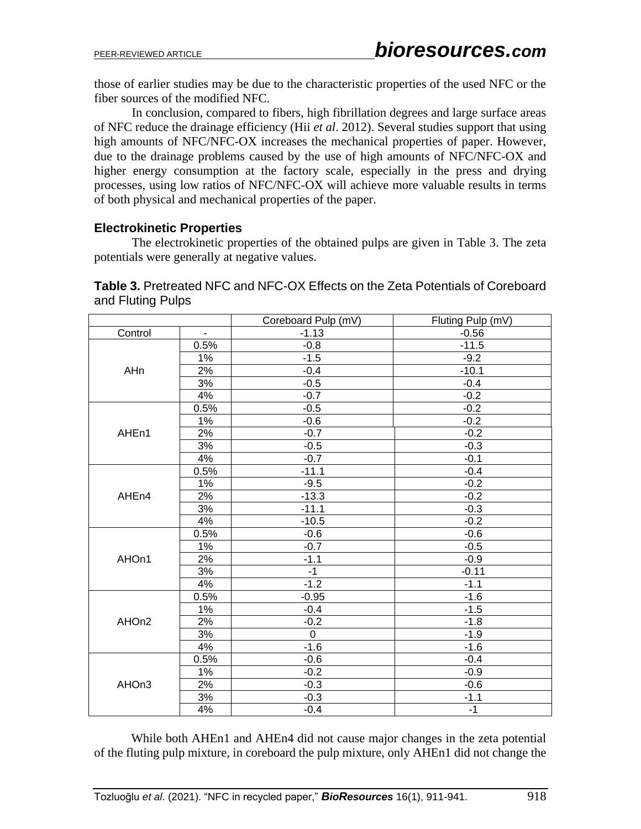those of earlier studies may be due to the characteristic properties of the used NFC or the fiber sources of the modified NFC.

In conclusion, compared to fibers, high fibrillation degrees and large surface areas of NFC reduce the drainage efficiency (Hii *et al*. 2012). Several studies support that using high amounts of NFC/NFC-OX increases the mechanical properties of paper. However, due to the drainage problems caused by the use of high amounts of NFC/NFC-OX and higher energy consumption at the factory scale, especially in the press and drying processes, using low ratios of NFC/NFC-OX will achieve more valuable results in terms of both physical and mechanical properties of the paper.

### **Electrokinetic Properties**

The electrokinetic properties of the obtained pulps are given in Table 3. The zeta potentials were generally at negative values.

**Table 3.** Pretreated NFC and NFC-OX Effects on the Zeta Potentials of Coreboard and Fluting Pulps

|         |                | Coreboard Pulp (mV) | Fluting Pulp (mV) |
|---------|----------------|---------------------|-------------------|
| Control | $\blacksquare$ | $-1.13$             | $-0.56$           |
|         | 0.5%           | $-0.8$              | $-11.5$           |
|         | 1%             | $-1.5$              | $-9.2$            |
| AHn     | 2%             | $-0.4$              | $-10.1$           |
|         | 3%             | $-0.5$              | $-0.4$            |
|         | 4%             | $-0.7$              | $-0.2$            |
|         | 0.5%           | $-0.5$              | $-0.2$            |
|         | 1%             | $-0.6$              | $-0.2$            |
| AHEn1   | 2%             | $-0.7$              | $-0.2$            |
|         | $3%$           | $-0.5$              | $-0.3$            |
|         | 4%             | $-0.7$              | $-0.1$            |
|         | 0.5%           | $-11.1$             | $-0.4$            |
|         | 1%             | $-9.5$              | $-0.2$            |
| AHEn4   | 2%             | $-13.3$             | $-0.2$            |
|         | 3%             | $-11.1$             | $-0.3$            |
|         | 4%             | $-10.5$             | $-0.2$            |
|         | 0.5%           | $-0.6$              | $-0.6$            |
|         | 1%             | $-0.7$              | $-0.5$            |
| AHOn1   | 2%             | $-1.1$              | $-0.9$            |
|         | 3%             | $-1$                | $-0.11$           |
|         | 4%             | $-1.2$              | $-1.1$            |
|         | 0.5%           | $-0.95$             | $-1.6$            |
|         | 1%             | $-0.4$              | $-1.5$            |
| AHOn2   | 2%             | $-0.2$              | $-1.8$            |
|         | 3%             | $\overline{0}$      | $-1.9$            |
|         | 4%             | $-1.6$              | $-1.6$            |
|         | 0.5%           | $-0.6$              | $-0.4$            |
|         | 1%             | $-0.2$              | $-0.9$            |
| AHOn3   | 2%             | $-0.3$              | $-0.6$            |
|         | 3%             | $-0.3$              | $-1.1$            |
|         | 4%             | $-0.4$              | $-1$              |

While both AHEn1 and AHEn4 did not cause major changes in the zeta potential of the fluting pulp mixture, in coreboard the pulp mixture, only AHEn1 did not change the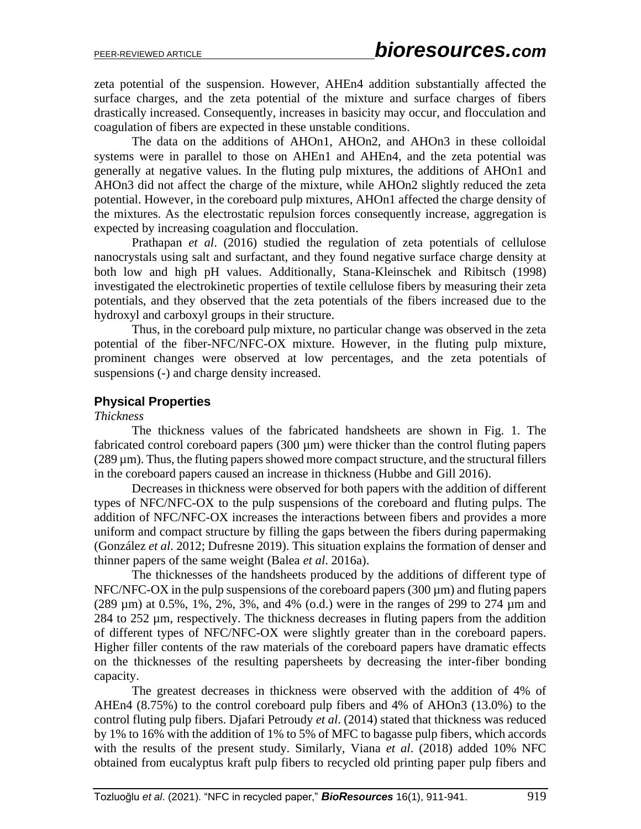zeta potential of the suspension. However, AHEn4 addition substantially affected the surface charges, and the zeta potential of the mixture and surface charges of fibers drastically increased. Consequently, increases in basicity may occur, and flocculation and coagulation of fibers are expected in these unstable conditions.

The data on the additions of AHOn1, AHOn2, and AHOn3 in these colloidal systems were in parallel to those on AHEn1 and AHEn4, and the zeta potential was generally at negative values. In the fluting pulp mixtures, the additions of AHOn1 and AHOn3 did not affect the charge of the mixture, while AHOn2 slightly reduced the zeta potential. However, in the coreboard pulp mixtures, AHOn1 affected the charge density of the mixtures. As the electrostatic repulsion forces consequently increase, aggregation is expected by increasing coagulation and flocculation.

Prathapan *et al*. (2016) studied the regulation of zeta potentials of cellulose nanocrystals using salt and surfactant, and they found negative surface charge density at both low and high pH values. Additionally, Stana-Kleinschek and Ribitsch (1998) investigated the electrokinetic properties of textile cellulose fibers by measuring their zeta potentials, and they observed that the zeta potentials of the fibers increased due to the hydroxyl and carboxyl groups in their structure.

Thus, in the coreboard pulp mixture, no particular change was observed in the zeta potential of the fiber-NFC/NFC-OX mixture. However, in the fluting pulp mixture, prominent changes were observed at low percentages, and the zeta potentials of suspensions (-) and charge density increased.

### **Physical Properties**

#### *Thickness*

The thickness values of the fabricated handsheets are shown in Fig. 1. The fabricated control coreboard papers (300 µm) were thicker than the control fluting papers  $(289 \,\mu m)$ . Thus, the fluting papers showed more compact structure, and the structural fillers in the coreboard papers caused an increase in thickness (Hubbe and Gill 2016).

Decreases in thickness were observed for both papers with the addition of different types of NFC/NFC-OX to the pulp suspensions of the coreboard and fluting pulps. The addition of NFC/NFC-OX increases the interactions between fibers and provides a more uniform and compact structure by filling the gaps between the fibers during papermaking (González *et al*. 2012; Dufresne 2019). This situation explains the formation of denser and thinner papers of the same weight (Balea *et al*. 2016a).

The thicknesses of the handsheets produced by the additions of different type of  $NFC/NFC-OX$  in the pulp suspensions of the coreboard papers (300  $\mu$ m) and fluting papers (289 µm) at 0.5%, 1%, 2%, 3%, and 4% (o.d.) were in the ranges of 299 to 274 µm and 284 to 252 µm, respectively. The thickness decreases in fluting papers from the addition of different types of NFC/NFC-OX were slightly greater than in the coreboard papers. Higher filler contents of the raw materials of the coreboard papers have dramatic effects on the thicknesses of the resulting papersheets by decreasing the inter-fiber bonding capacity.

The greatest decreases in thickness were observed with the addition of 4% of AHEn4 (8.75%) to the control coreboard pulp fibers and 4% of AHOn3 (13.0%) to the control fluting pulp fibers. Djafari Petroudy *et al*. (2014) stated that thickness was reduced by 1% to 16% with the addition of 1% to 5% of MFC to bagasse pulp fibers, which accords with the results of the present study. Similarly, Viana *et al*. (2018) added 10% NFC obtained from eucalyptus kraft pulp fibers to recycled old printing paper pulp fibers and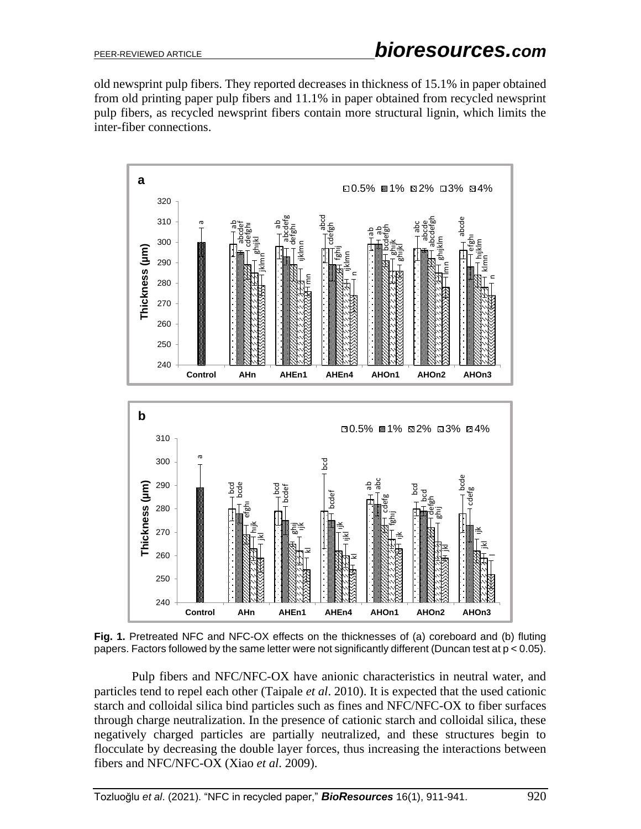old newsprint pulp fibers. They reported decreases in thickness of 15.1% in paper obtained from old printing paper pulp fibers and 11.1% in paper obtained from recycled newsprint pulp fibers, as recycled newsprint fibers contain more structural lignin, which limits the inter-fiber connections.



**Fig. 1.** Pretreated NFC and NFC-OX effects on the thicknesses of (a) coreboard and (b) fluting papers. Factors followed by the same letter were not significantly different (Duncan test at p < 0.05).

Pulp fibers and NFC/NFC-OX have anionic characteristics in neutral water, and particles tend to repel each other (Taipale *et al*. 2010). It is expected that the used cationic starch and colloidal silica bind particles such as fines and NFC/NFC-OX to fiber surfaces through charge neutralization. In the presence of cationic starch and colloidal silica, these negatively charged particles are partially neutralized, and these structures begin to flocculate by decreasing the double layer forces, thus increasing the interactions between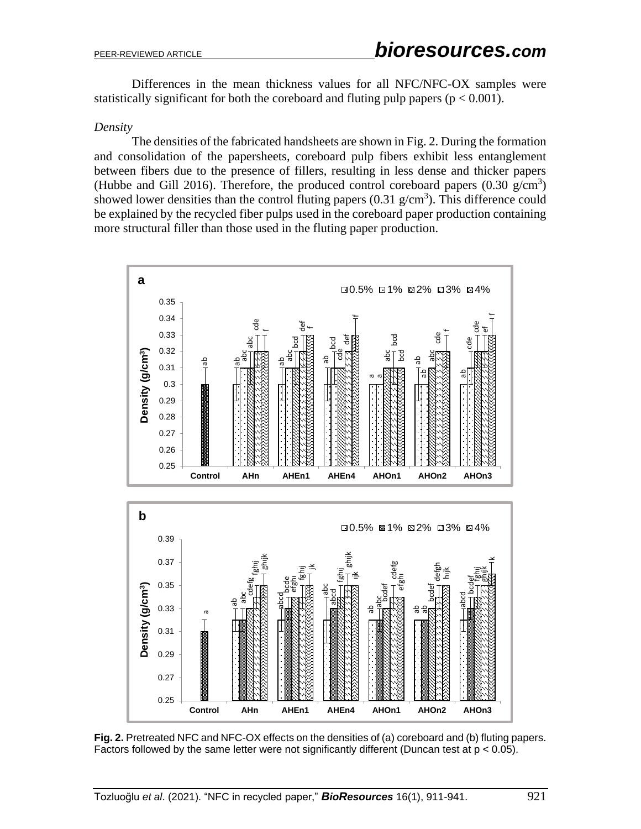Differences in the mean thickness values for all NFC/NFC-OX samples were statistically significant for both the coreboard and fluting pulp papers ( $p < 0.001$ ).

#### *Density*

The densities of the fabricated handsheets are shown in Fig. 2. During the formation and consolidation of the papersheets, coreboard pulp fibers exhibit less entanglement between fibers due to the presence of fillers, resulting in less dense and thicker papers (Hubbe and Gill 2016). Therefore, the produced control coreboard papers  $(0.30 \text{ g/cm}^3)$ showed lower densities than the control fluting papers  $(0.31 \text{ g/cm}^3)$ . This difference could be explained by the recycled fiber pulps used in the coreboard paper production containing more structural filler than those used in the fluting paper production.



**Fig. 2.** Pretreated NFC and NFC-OX effects on the densities of (a) coreboard and (b) fluting papers.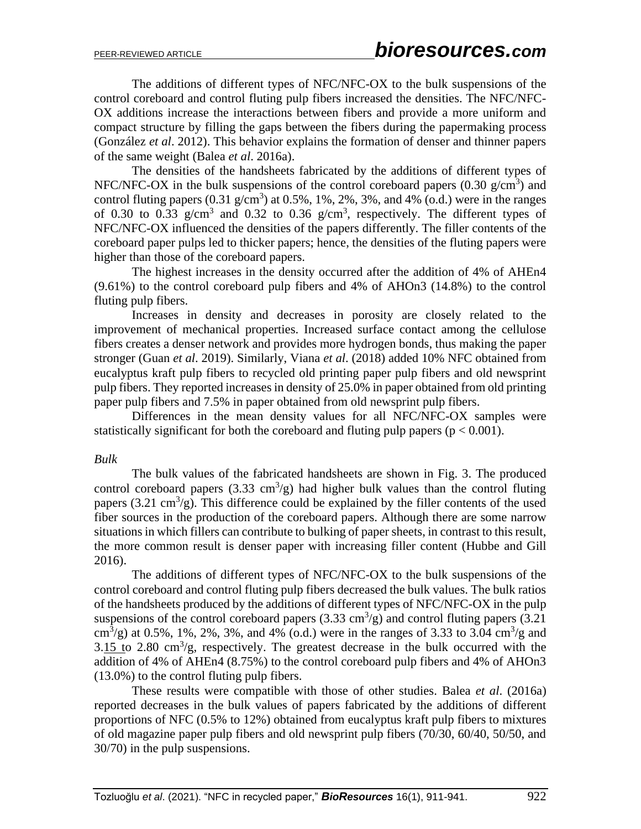The additions of different types of NFC/NFC-OX to the bulk suspensions of the control coreboard and control fluting pulp fibers increased the densities. The NFC/NFC-OX additions increase the interactions between fibers and provide a more uniform and compact structure by filling the gaps between the fibers during the papermaking process (González *et al*. 2012). This behavior explains the formation of denser and thinner papers of the same weight (Balea *et al*. 2016a).

The densities of the handsheets fabricated by the additions of different types of NFC/NFC-OX in the bulk suspensions of the control coreboard papers  $(0.30 \text{ g/cm}^3)$  and control fluting papers  $(0.31 \text{ g/cm}^3)$  at  $0.5\%$ , 1%, 2%, 3%, and 4%  $(o.d.)$  were in the ranges of 0.30 to 0.33  $g/cm<sup>3</sup>$  and 0.32 to 0.36  $g/cm<sup>3</sup>$ , respectively. The different types of NFC/NFC-OX influenced the densities of the papers differently. The filler contents of the coreboard paper pulps led to thicker papers; hence, the densities of the fluting papers were higher than those of the coreboard papers.

The highest increases in the density occurred after the addition of 4% of AHEn4 (9.61%) to the control coreboard pulp fibers and 4% of AHOn3 (14.8%) to the control fluting pulp fibers.

Increases in density and decreases in porosity are closely related to the improvement of mechanical properties. Increased surface contact among the cellulose fibers creates a denser network and provides more hydrogen bonds, thus making the paper stronger (Guan *et al*. 2019). Similarly, Viana *et al*. (2018) added 10% NFC obtained from eucalyptus kraft pulp fibers to recycled old printing paper pulp fibers and old newsprint pulp fibers. They reported increases in density of 25.0% in paper obtained from old printing paper pulp fibers and 7.5% in paper obtained from old newsprint pulp fibers.

Differences in the mean density values for all NFC/NFC-OX samples were statistically significant for both the coreboard and fluting pulp papers ( $p < 0.001$ ).

#### *Bulk*

The bulk values of the fabricated handsheets are shown in Fig. 3. The produced control coreboard papers  $(3.33 \text{ cm}^3/\text{g})$  had higher bulk values than the control fluting papers (3.21 cm<sup>3</sup>/g). This difference could be explained by the filler contents of the used fiber sources in the production of the coreboard papers. Although there are some narrow situations in which fillers can contribute to bulking of paper sheets, in contrast to this result, the more common result is denser paper with increasing filler content (Hubbe and Gill 2016).

The additions of different types of NFC/NFC-OX to the bulk suspensions of the control coreboard and control fluting pulp fibers decreased the bulk values. The bulk ratios of the handsheets produced by the additions of different types of NFC/NFC-OX in the pulp suspensions of the control coreboard papers  $(3.33 \text{ cm}^3/\text{g})$  and control fluting papers  $(3.21 \text{ m})$ cm<sup>3</sup>/g) at 0.5%, 1%, 2%, 3%, and 4% (o.d.) were in the ranges of 3.33 to 3.04 cm<sup>3</sup>/g and 3.15 to 2.80 cm<sup>3</sup>/g, respectively. The greatest decrease in the bulk occurred with the addition of 4% of AHEn4 (8.75%) to the control coreboard pulp fibers and 4% of AHOn3 (13.0%) to the control fluting pulp fibers.

These results were compatible with those of other studies. Balea *et al*. (2016a) reported decreases in the bulk values of papers fabricated by the additions of different proportions of NFC (0.5% to 12%) obtained from eucalyptus kraft pulp fibers to mixtures of old magazine paper pulp fibers and old newsprint pulp fibers (70/30, 60/40, 50/50, and 30/70) in the pulp suspensions.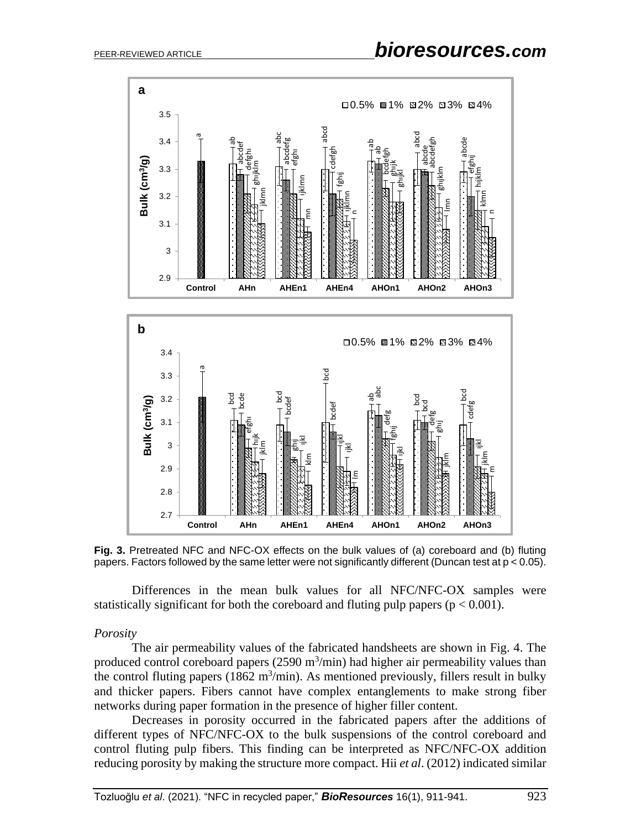

**Fig. 3.** Pretreated NFC and NFC-OX effects on the bulk values of (a) coreboard and (b) fluting papers. Factors followed by the same letter were not significantly different (Duncan test at p < 0.05).

Differences in the mean bulk values for all NFC/NFC-OX samples were statistically significant for both the coreboard and fluting pulp papers ( $p < 0.001$ ).

#### *Porosity*

The air permeability values of the fabricated handsheets are shown in Fig. 4. The produced control coreboard papers  $(2590 \text{ m}^3/\text{min})$  had higher air permeability values than the control fluting papers ( $1862 \text{ m}^3/\text{min}$ ). As mentioned previously, fillers result in bulky and thicker papers. Fibers cannot have complex entanglements to make strong fiber networks during paper formation in the presence of higher filler content.

Decreases in porosity occurred in the fabricated papers after the additions of different types of NFC/NFC-OX to the bulk suspensions of the control coreboard and control fluting pulp fibers. This finding can be interpreted as NFC/NFC-OX addition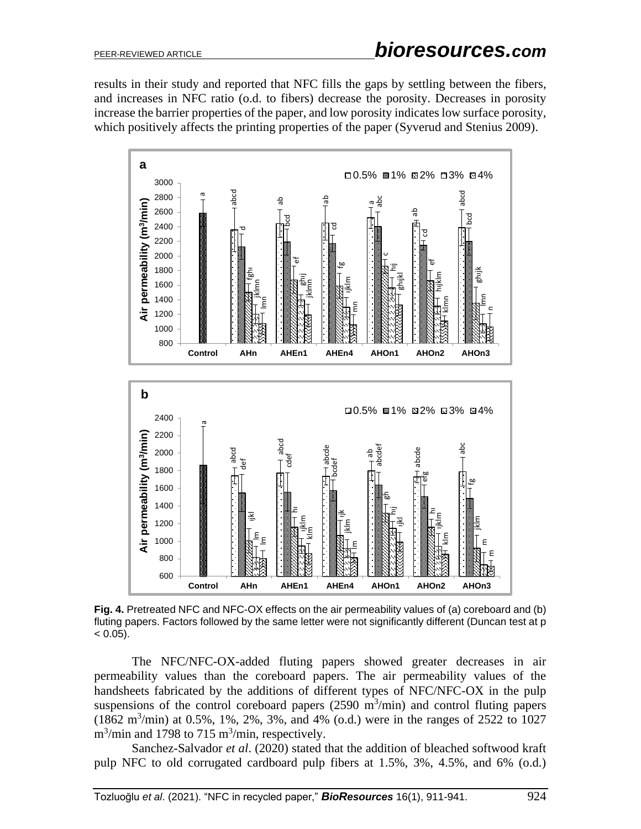results in their study and reported that NFC fills the gaps by settling between the fibers, and increases in NFC ratio (o.d. to fibers) decrease the porosity. Decreases in porosity increase the barrier properties of the paper, and low porosity indicates low surface porosity, which positively affects the printing properties of the paper (Syverud and Stenius 2009).



**Fig. 4.** Pretreated NFC and NFC-OX effects on the air permeability values of (a) coreboard and (b) fluting papers. Factors followed by the same letter were not significantly different (Duncan test at p  $< 0.05$ ).

The NFC/NFC-OX-added fluting papers showed greater decreases in air permeability values than the coreboard papers. The air permeability values of the handsheets fabricated by the additions of different types of NFC/NFC-OX in the pulp suspensions of the control coreboard papers  $(2590 \text{ m}^3/\text{min})$  and control fluting papers  $(1862 \text{ m}^3/\text{min})$  at 0.5%, 1%, 2%, 3%, and 4% (o.d.) were in the ranges of 2522 to 1027  $\text{m}^3/\text{min}$  and 1798 to 715  $\text{m}^3/\text{min}$ , respectively.

Sanchez-Salvador *et al*. (2020) stated that the addition of bleached softwood kraft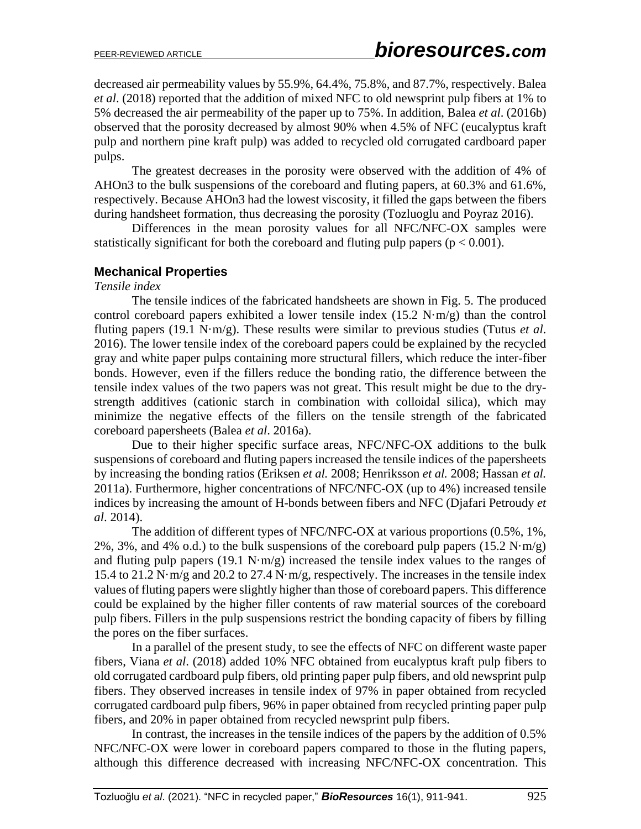decreased air permeability values by 55.9%, 64.4%, 75.8%, and 87.7%, respectively. Balea *et al*. (2018) reported that the addition of mixed NFC to old newsprint pulp fibers at 1% to 5% decreased the air permeability of the paper up to 75%. In addition, Balea *et al*. (2016b) observed that the porosity decreased by almost 90% when 4.5% of NFC (eucalyptus kraft pulp and northern pine kraft pulp) was added to recycled old corrugated cardboard paper pulps.

The greatest decreases in the porosity were observed with the addition of 4% of AHOn3 to the bulk suspensions of the coreboard and fluting papers, at 60.3% and 61.6%, respectively. Because AHOn3 had the lowest viscosity, it filled the gaps between the fibers during handsheet formation, thus decreasing the porosity (Tozluoglu and Poyraz 2016).

Differences in the mean porosity values for all NFC/NFC-OX samples were statistically significant for both the coreboard and fluting pulp papers ( $p < 0.001$ ).

### **Mechanical Properties**

#### *Tensile index*

The tensile indices of the fabricated handsheets are shown in Fig. 5. The produced control coreboard papers exhibited a lower tensile index  $(15.2 \text{ N} \cdot \text{m/g})$  than the control fluting papers (19.1 N·m/g). These results were similar to previous studies (Tutus *et al*. 2016). The lower tensile index of the coreboard papers could be explained by the recycled gray and white paper pulps containing more structural fillers, which reduce the inter-fiber bonds. However, even if the fillers reduce the bonding ratio, the difference between the tensile index values of the two papers was not great. This result might be due to the drystrength additives (cationic starch in combination with colloidal silica), which may minimize the negative effects of the fillers on the tensile strength of the fabricated coreboard papersheets (Balea *et al*. 2016a).

Due to their higher specific surface areas, NFC/NFC-OX additions to the bulk suspensions of coreboard and fluting papers increased the tensile indices of the papersheets by increasing the bonding ratios (Eriksen *et al.* 2008; Henriksson *et al.* 2008; Hassan *et al.* 2011a). Furthermore, higher concentrations of NFC/NFC-OX (up to 4%) increased tensile indices by increasing the amount of H-bonds between fibers and NFC (Djafari Petroudy *et al*. 2014).

The addition of different types of NFC/NFC-OX at various proportions (0.5%, 1%, 2%, 3%, and 4% o.d.) to the bulk suspensions of the coreboard pulp papers  $(15.2 \text{ N} \cdot \text{m/g})$ and fluting pulp papers (19.1 N·m/g) increased the tensile index values to the ranges of 15.4 to 21.2 N·m/g and 20.2 to 27.4 N·m/g, respectively. The increases in the tensile index values of fluting papers were slightly higher than those of coreboard papers. This difference could be explained by the higher filler contents of raw material sources of the coreboard pulp fibers. Fillers in the pulp suspensions restrict the bonding capacity of fibers by filling the pores on the fiber surfaces.

In a parallel of the present study, to see the effects of NFC on different waste paper fibers, Viana *et al*. (2018) added 10% NFC obtained from eucalyptus kraft pulp fibers to old corrugated cardboard pulp fibers, old printing paper pulp fibers, and old newsprint pulp fibers. They observed increases in tensile index of 97% in paper obtained from recycled corrugated cardboard pulp fibers, 96% in paper obtained from recycled printing paper pulp fibers, and 20% in paper obtained from recycled newsprint pulp fibers.

In contrast, the increases in the tensile indices of the papers by the addition of 0.5% NFC/NFC-OX were lower in coreboard papers compared to those in the fluting papers, although this difference decreased with increasing NFC/NFC-OX concentration. This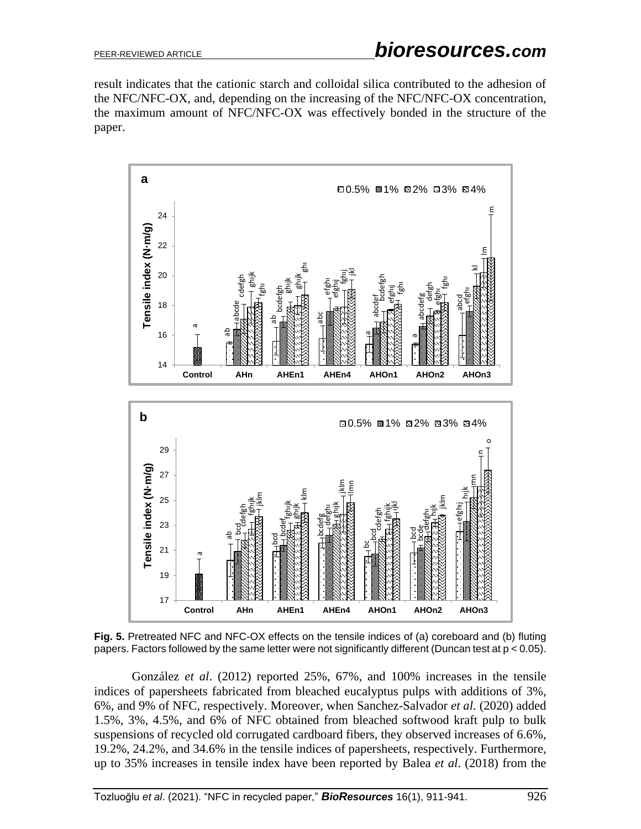result indicates that the cationic starch and colloidal silica contributed to the adhesion of the NFC/NFC-OX, and, depending on the increasing of the NFC/NFC-OX concentration, the maximum amount of NFC/NFC-OX was effectively bonded in the structure of the paper.



**Fig. 5.** Pretreated NFC and NFC-OX effects on the tensile indices of (a) coreboard and (b) fluting papers. Factors followed by the same letter were not significantly different (Duncan test at p < 0.05).

González *et al*. (2012) reported 25%, 67%, and 100% increases in the tensile indices of papersheets fabricated from bleached eucalyptus pulps with additions of 3%, 6%, and 9% of NFC, respectively. Moreover, when Sanchez-Salvador *et al*. (2020) added 1.5%, 3%, 4.5%, and 6% of NFC obtained from bleached softwood kraft pulp to bulk suspensions of recycled old corrugated cardboard fibers, they observed increases of 6.6%, 19.2%, 24.2%, and 34.6% in the tensile indices of papersheets, respectively. Furthermore,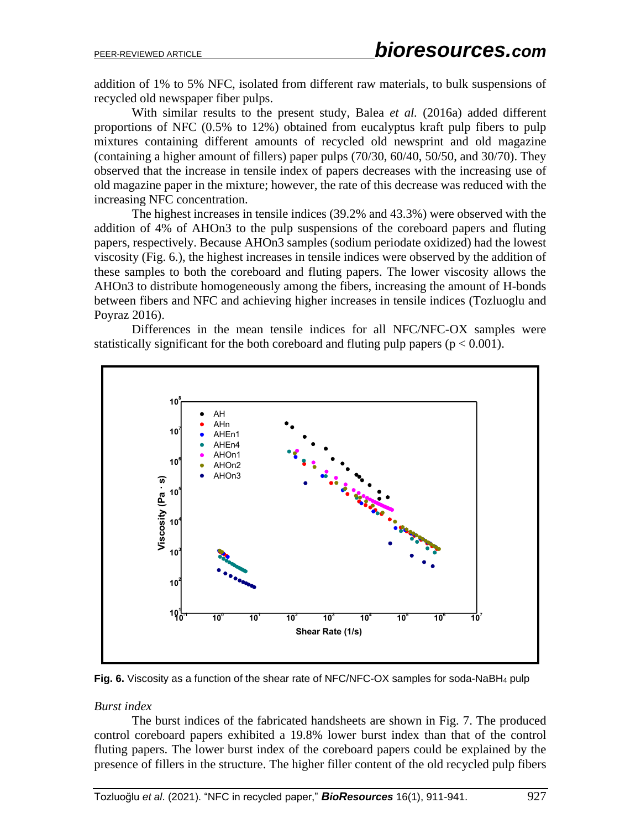addition of 1% to 5% NFC, isolated from different raw materials, to bulk suspensions of recycled old newspaper fiber pulps.

With similar results to the present study, Balea *et al.* (2016a) added different proportions of NFC (0.5% to 12%) obtained from eucalyptus kraft pulp fibers to pulp mixtures containing different amounts of recycled old newsprint and old magazine (containing a higher amount of fillers) paper pulps (70/30, 60/40, 50/50, and 30/70). They observed that the increase in tensile index of papers decreases with the increasing use of old magazine paper in the mixture; however, the rate of this decrease was reduced with the increasing NFC concentration.

The highest increases in tensile indices (39.2% and 43.3%) were observed with the addition of 4% of AHOn3 to the pulp suspensions of the coreboard papers and fluting papers, respectively. Because AHOn3 samples (sodium periodate oxidized) had the lowest viscosity (Fig. 6.), the highest increases in tensile indices were observed by the addition of these samples to both the coreboard and fluting papers. The lower viscosity allows the AHOn3 to distribute homogeneously among the fibers, increasing the amount of H-bonds between fibers and NFC and achieving higher increases in tensile indices (Tozluoglu and Poyraz 2016).

Differences in the mean tensile indices for all NFC/NFC-OX samples were statistically significant for the both coreboard and fluting pulp papers ( $p < 0.001$ ).



**Fig. 6.** Viscosity as a function of the shear rate of NFC/NFC-OX samples for soda-NaBH<sup>4</sup> pulp

### *Burst index*

The burst indices of the fabricated handsheets are shown in Fig. 7. The produced control coreboard papers exhibited a 19.8% lower burst index than that of the control fluting papers. The lower burst index of the coreboard papers could be explained by the presence of fillers in the structure. The higher filler content of the old recycled pulp fibers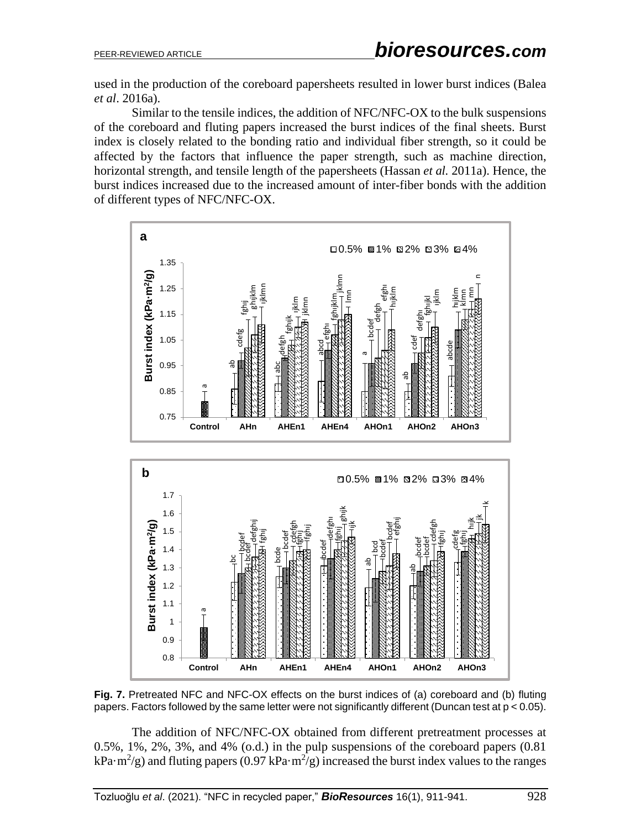used in the production of the coreboard papersheets resulted in lower burst indices (Balea *et al*. 2016a).

Similar to the tensile indices, the addition of NFC/NFC-OX to the bulk suspensions of the coreboard and fluting papers increased the burst indices of the final sheets. Burst index is closely related to the bonding ratio and individual fiber strength, so it could be affected by the factors that influence the paper strength, such as machine direction, horizontal strength, and tensile length of the papersheets (Hassan *et al.* 2011a). Hence, the burst indices increased due to the increased amount of inter-fiber bonds with the addition of different types of NFC/NFC-OX.



**Fig. 7.** Pretreated NFC and NFC-OX effects on the burst indices of (a) coreboard and (b) fluting papers. Factors followed by the same letter were not significantly different (Duncan test at p < 0.05).

The addition of NFC/NFC-OX obtained from different pretreatment processes at 0.5%, 1%, 2%, 3%, and 4% (o.d.) in the pulp suspensions of the coreboard papers (0.81 kPa·m<sup>2</sup>/g) and fluting papers (0.97 kPa·m<sup>2</sup>/g) increased the burst index values to the ranges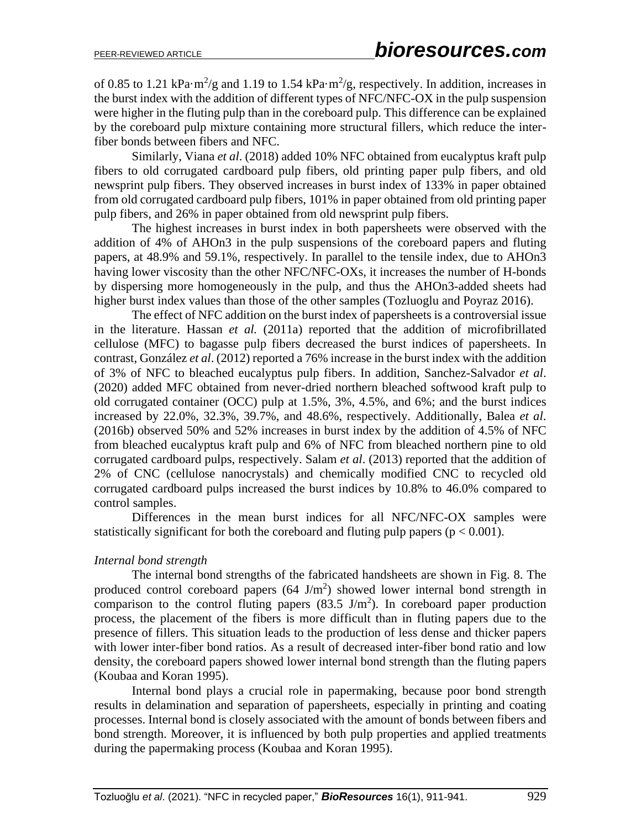of 0.85 to 1.21 kPa·m<sup>2</sup>/g and 1.19 to 1.54 kPa·m<sup>2</sup>/g, respectively. In addition, increases in the burst index with the addition of different types of NFC/NFC-OX in the pulp suspension were higher in the fluting pulp than in the coreboard pulp. This difference can be explained by the coreboard pulp mixture containing more structural fillers, which reduce the interfiber bonds between fibers and NFC.

Similarly, Viana *et al*. (2018) added 10% NFC obtained from eucalyptus kraft pulp fibers to old corrugated cardboard pulp fibers, old printing paper pulp fibers, and old newsprint pulp fibers. They observed increases in burst index of 133% in paper obtained from old corrugated cardboard pulp fibers, 101% in paper obtained from old printing paper pulp fibers, and 26% in paper obtained from old newsprint pulp fibers.

The highest increases in burst index in both papersheets were observed with the addition of 4% of AHOn3 in the pulp suspensions of the coreboard papers and fluting papers, at 48.9% and 59.1%, respectively. In parallel to the tensile index, due to AHOn3 having lower viscosity than the other NFC/NFC-OXs, it increases the number of H-bonds by dispersing more homogeneously in the pulp, and thus the AHOn3-added sheets had higher burst index values than those of the other samples (Tozluoglu and Poyraz 2016).

The effect of NFC addition on the burst index of papersheets is a controversial issue in the literature. Hassan *et al.* (2011a) reported that the addition of microfibrillated cellulose (MFC) to bagasse pulp fibers decreased the burst indices of papersheets. In contrast, González *et al*. (2012) reported a 76% increase in the burst index with the addition of 3% of NFC to bleached eucalyptus pulp fibers. In addition, Sanchez-Salvador *et al*. (2020) added MFC obtained from never-dried northern bleached softwood kraft pulp to old corrugated container (OCC) pulp at 1.5%, 3%, 4.5%, and 6%; and the burst indices increased by 22.0%, 32.3%, 39.7%, and 48.6%, respectively. Additionally, Balea *et al*. (2016b) observed 50% and 52% increases in burst index by the addition of 4.5% of NFC from bleached eucalyptus kraft pulp and 6% of NFC from bleached northern pine to old corrugated cardboard pulps, respectively. Salam *et al*. (2013) reported that the addition of 2% of CNC (cellulose nanocrystals) and chemically modified CNC to recycled old corrugated cardboard pulps increased the burst indices by 10.8% to 46.0% compared to control samples.

Differences in the mean burst indices for all NFC/NFC-OX samples were statistically significant for both the coreboard and fluting pulp papers ( $p < 0.001$ ).

### *Internal bond strength*

The internal bond strengths of the fabricated handsheets are shown in Fig. 8. The produced control coreboard papers  $(64 \text{ J/m}^2)$  showed lower internal bond strength in comparison to the control fluting papers  $(83.5 \text{ J/m}^2)$ . In coreboard paper production process, the placement of the fibers is more difficult than in fluting papers due to the presence of fillers. This situation leads to the production of less dense and thicker papers with lower inter-fiber bond ratios. As a result of decreased inter-fiber bond ratio and low density, the coreboard papers showed lower internal bond strength than the fluting papers (Koubaa and Koran 1995).

Internal bond plays a crucial role in papermaking, because poor bond strength results in delamination and separation of papersheets, especially in printing and coating processes. Internal bond is closely associated with the amount of bonds between fibers and bond strength. Moreover, it is influenced by both pulp properties and applied treatments during the papermaking process (Koubaa and Koran 1995).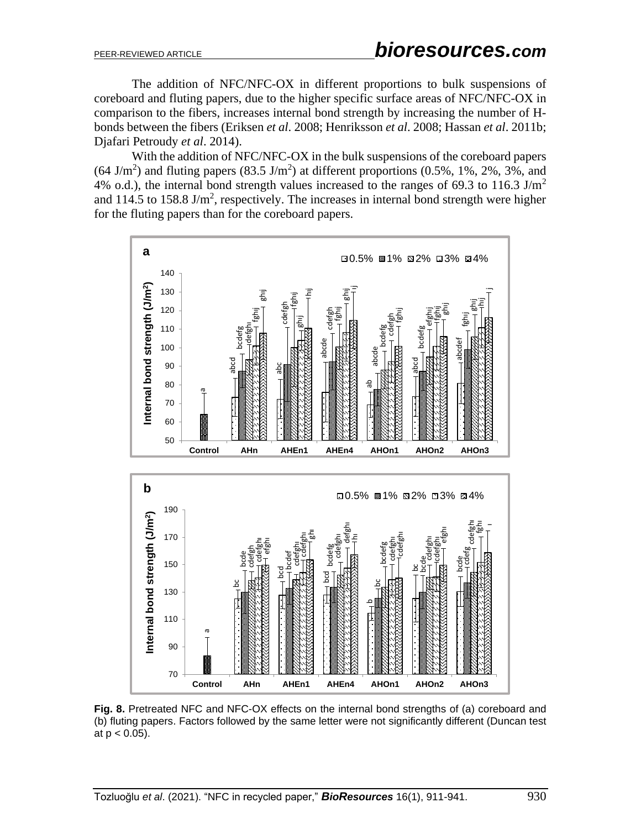The addition of NFC/NFC-OX in different proportions to bulk suspensions of coreboard and fluting papers, due to the higher specific surface areas of NFC/NFC-OX in comparison to the fibers, increases internal bond strength by increasing the number of Hbonds between the fibers (Eriksen *et al*. 2008; Henriksson *et al*. 2008; Hassan *et al*. 2011b; Djafari Petroudy *et al*. 2014).

With the addition of NFC/NFC-OX in the bulk suspensions of the coreboard papers  $(64 \text{ J/m}^2)$  and fluting papers  $(83.5 \text{ J/m}^2)$  at different proportions  $(0.5\% , 1\% , 2\% , 3\% ,$  and 4% o.d.), the internal bond strength values increased to the ranges of 69.3 to 116.3 J/m<sup>2</sup> and 114.5 to 158.8 J/m<sup>2</sup>, respectively. The increases in internal bond strength were higher for the fluting papers than for the coreboard papers.



**Fig. 8.** Pretreated NFC and NFC-OX effects on the internal bond strengths of (a) coreboard and (b) fluting papers. Factors followed by the same letter were not significantly different (Duncan test at  $p < 0.05$ ).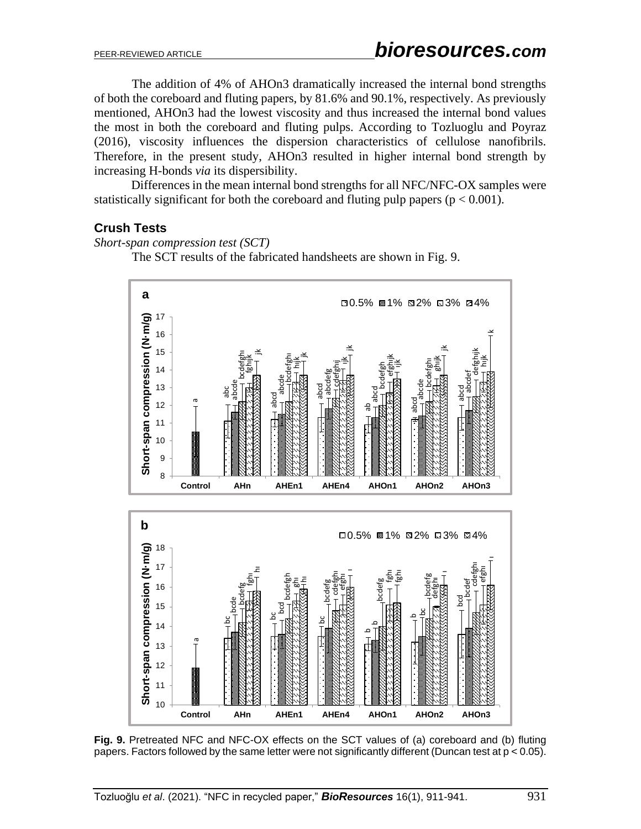The addition of 4% of AHOn3 dramatically increased the internal bond strengths of both the coreboard and fluting papers, by 81.6% and 90.1%, respectively. As previously mentioned, AHOn3 had the lowest viscosity and thus increased the internal bond values the most in both the coreboard and fluting pulps. According to Tozluoglu and Poyraz (2016), viscosity influences the dispersion characteristics of cellulose nanofibrils. Therefore, in the present study, AHOn3 resulted in higher internal bond strength by increasing H-bonds *via* its dispersibility.

Differences in the mean internal bond strengths for all NFC/NFC-OX samples were statistically significant for both the coreboard and fluting pulp papers ( $p < 0.001$ ).

# **Crush Tests**

*Short-span compression test (SCT)*

The SCT results of the fabricated handsheets are shown in Fig. 9.



**Fig. 9.** Pretreated NFC and NFC-OX effects on the SCT values of (a) coreboard and (b) fluting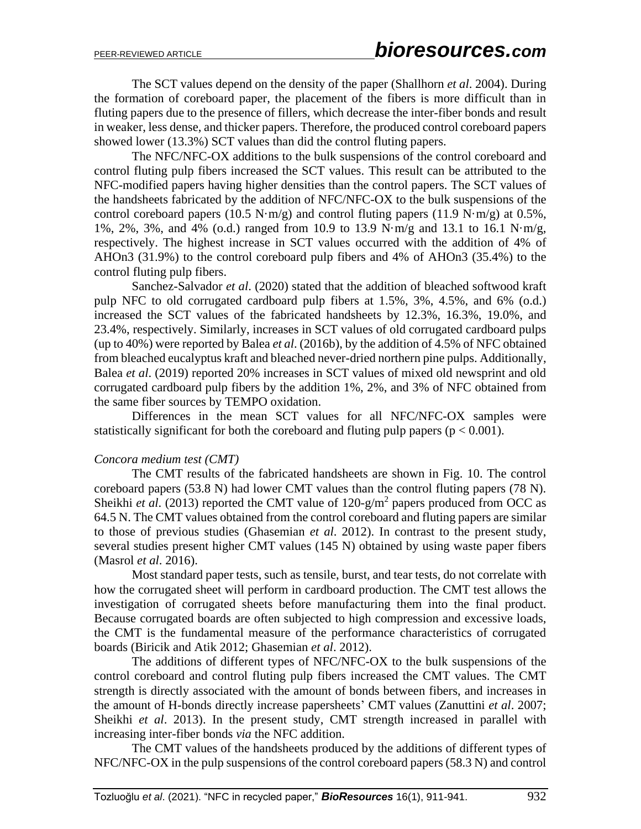The SCT values depend on the density of the paper (Shallhorn *et al*. 2004). During the formation of coreboard paper, the placement of the fibers is more difficult than in fluting papers due to the presence of fillers, which decrease the inter-fiber bonds and result in weaker, less dense, and thicker papers. Therefore, the produced control coreboard papers showed lower (13.3%) SCT values than did the control fluting papers.

The NFC/NFC-OX additions to the bulk suspensions of the control coreboard and control fluting pulp fibers increased the SCT values. This result can be attributed to the NFC-modified papers having higher densities than the control papers. The SCT values of the handsheets fabricated by the addition of NFC/NFC-OX to the bulk suspensions of the control coreboard papers (10.5 N·m/g) and control fluting papers (11.9 N·m/g) at 0.5%, 1%, 2%, 3%, and 4% (o.d.) ranged from 10.9 to 13.9 N·m/g and 13.1 to 16.1 N·m/g, respectively. The highest increase in SCT values occurred with the addition of 4% of AHOn3 (31.9%) to the control coreboard pulp fibers and 4% of AHOn3 (35.4%) to the control fluting pulp fibers.

Sanchez-Salvador *et al*. (2020) stated that the addition of bleached softwood kraft pulp NFC to old corrugated cardboard pulp fibers at 1.5%, 3%, 4.5%, and 6% (o.d.) increased the SCT values of the fabricated handsheets by 12.3%, 16.3%, 19.0%, and 23.4%, respectively. Similarly, increases in SCT values of old corrugated cardboard pulps (up to 40%) were reported by Balea *et al*. (2016b), by the addition of 4.5% of NFC obtained from bleached eucalyptus kraft and bleached never-dried northern pine pulps. Additionally, Balea *et al*. (2019) reported 20% increases in SCT values of mixed old newsprint and old corrugated cardboard pulp fibers by the addition 1%, 2%, and 3% of NFC obtained from the same fiber sources by TEMPO oxidation.

Differences in the mean SCT values for all NFC/NFC-OX samples were statistically significant for both the coreboard and fluting pulp papers ( $p < 0.001$ ).

### *Concora medium test (CMT)*

The CMT results of the fabricated handsheets are shown in Fig. 10. The control coreboard papers (53.8 N) had lower CMT values than the control fluting papers (78 N). Sheikhi *et al.* (2013) reported the CMT value of 120-g/m<sup>2</sup> papers produced from OCC as 64.5 N. The CMT values obtained from the control coreboard and fluting papers are similar to those of previous studies (Ghasemian *et al*. 2012). In contrast to the present study, several studies present higher CMT values (145 N) obtained by using waste paper fibers (Masrol *et al*. 2016).

Most standard paper tests, such as tensile, burst, and tear tests, do not correlate with how the corrugated sheet will perform in cardboard production. The CMT test allows the investigation of corrugated sheets before manufacturing them into the final product. Because corrugated boards are often subjected to high compression and excessive loads, the CMT is the fundamental measure of the performance characteristics of corrugated boards (Biricik and Atik 2012; Ghasemian *et al*. 2012).

The additions of different types of NFC/NFC-OX to the bulk suspensions of the control coreboard and control fluting pulp fibers increased the CMT values. The CMT strength is directly associated with the amount of bonds between fibers, and increases in the amount of H-bonds directly increase papersheets' CMT values (Zanuttini *et al*. 2007; Sheikhi *et al*. 2013). In the present study, CMT strength increased in parallel with increasing inter-fiber bonds *via* the NFC addition.

The CMT values of the handsheets produced by the additions of different types of NFC/NFC-OX in the pulp suspensions of the control coreboard papers (58.3 N) and control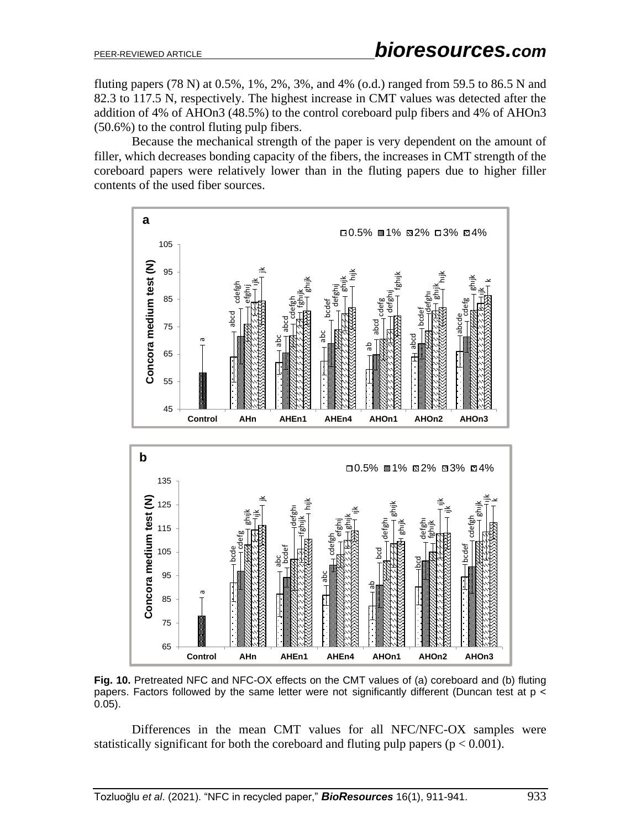fluting papers (78 N) at 0.5%, 1%, 2%, 3%, and 4% (o.d.) ranged from 59.5 to 86.5 N and 82.3 to 117.5 N, respectively. The highest increase in CMT values was detected after the addition of 4% of AHOn3 (48.5%) to the control coreboard pulp fibers and 4% of AHOn3 (50.6%) to the control fluting pulp fibers.

Because the mechanical strength of the paper is very dependent on the amount of filler, which decreases bonding capacity of the fibers, the increases in CMT strength of the coreboard papers were relatively lower than in the fluting papers due to higher filler contents of the used fiber sources.



**Fig. 10.** Pretreated NFC and NFC-OX effects on the CMT values of (a) coreboard and (b) fluting papers. Factors followed by the same letter were not significantly different (Duncan test at p < 0.05).

Differences in the mean CMT values for all NFC/NFC-OX samples were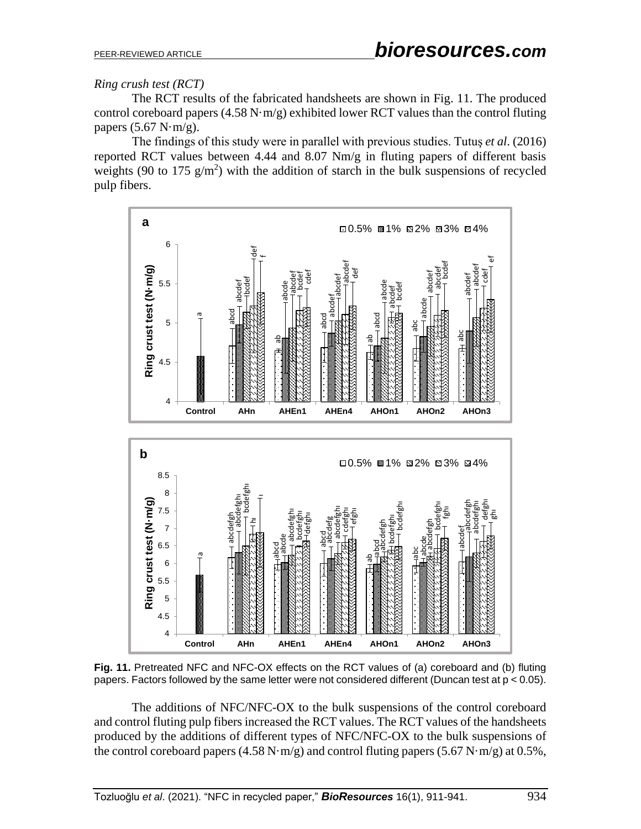## *Ring crush test (RCT)*

The RCT results of the fabricated handsheets are shown in Fig. 11. The produced control coreboard papers  $(4.58 \text{ N} \cdot \text{m/g})$  exhibited lower RCT values than the control fluting papers  $(5.67 \text{ N} \cdot \text{m/g})$ .

The findings of this study were in parallel with previous studies. Tutuş *et al*. (2016) reported RCT values between 4.44 and 8.07 Nm/g in fluting papers of different basis weights (90 to 175  $g/m<sup>2</sup>$ ) with the addition of starch in the bulk suspensions of recycled pulp fibers.



**Fig. 11.** Pretreated NFC and NFC-OX effects on the RCT values of (a) coreboard and (b) fluting papers. Factors followed by the same letter were not considered different (Duncan test at p < 0.05).

The additions of NFC/NFC-OX to the bulk suspensions of the control coreboard and control fluting pulp fibers increased the RCT values. The RCT values of the handsheets produced by the additions of different types of NFC/NFC-OX to the bulk suspensions of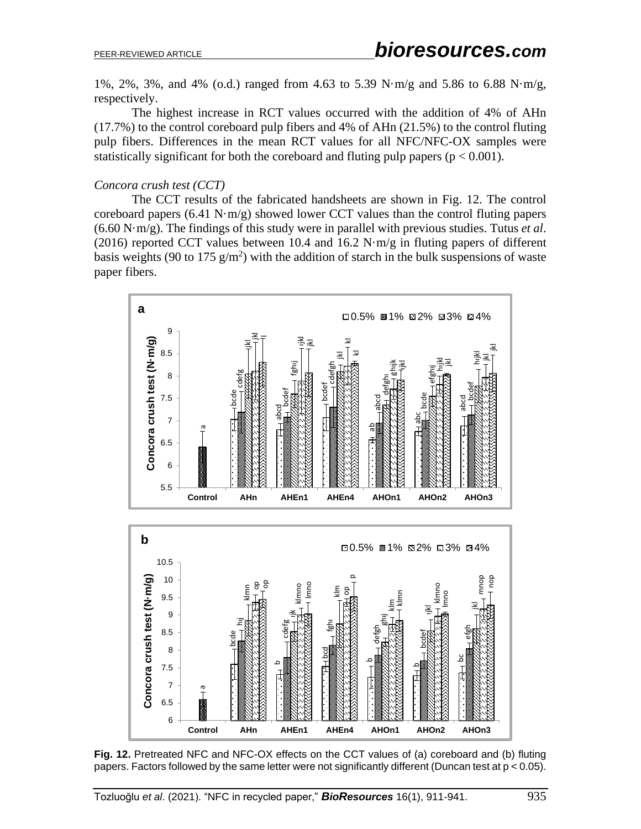1%, 2%, 3%, and 4% (o.d.) ranged from 4.63 to 5.39 N·m/g and 5.86 to 6.88 N·m/g, respectively.

The highest increase in RCT values occurred with the addition of 4% of AHn (17.7%) to the control coreboard pulp fibers and 4% of AHn (21.5%) to the control fluting pulp fibers. Differences in the mean RCT values for all NFC/NFC-OX samples were statistically significant for both the coreboard and fluting pulp papers ( $p < 0.001$ ).

### *Concora crush test (CCT)*

The CCT results of the fabricated handsheets are shown in Fig. 12. The control coreboard papers (6.41 N·m/g) showed lower CCT values than the control fluting papers (6.60 N·m/g). The findings of this study were in parallel with previous studies. Tutus *et al*. (2016) reported CCT values between 10.4 and 16.2 N $\cdot$ m/g in fluting papers of different basis weights (90 to 175  $g/m<sup>2</sup>$ ) with the addition of starch in the bulk suspensions of waste paper fibers.



**Fig. 12.** Pretreated NFC and NFC-OX effects on the CCT values of (a) coreboard and (b) fluting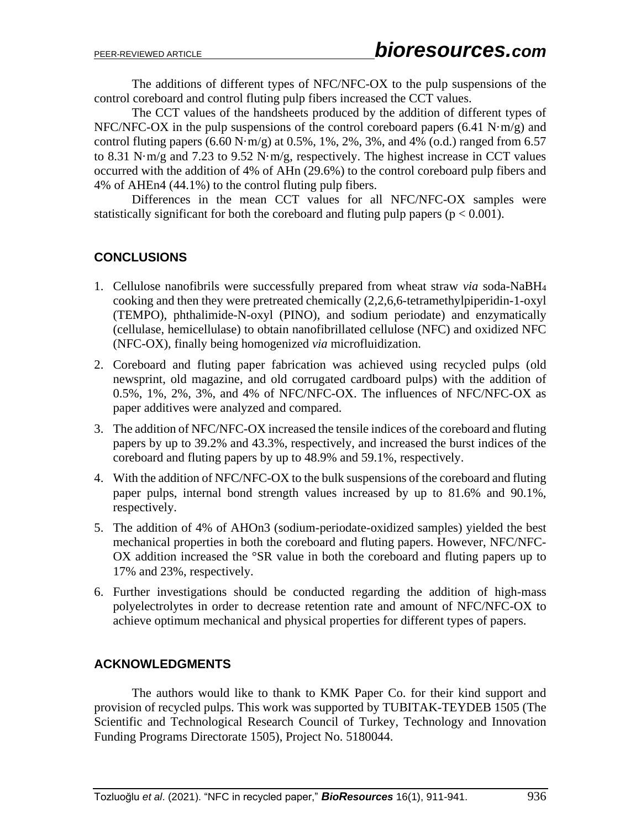The additions of different types of NFC/NFC-OX to the pulp suspensions of the control coreboard and control fluting pulp fibers increased the CCT values.

The CCT values of the handsheets produced by the addition of different types of NFC/NFC-OX in the pulp suspensions of the control coreboard papers  $(6.41 \text{ N} \cdot \text{m/g})$  and control fluting papers  $(6.60 \text{ N} \cdot \text{m/g})$  at 0.5%, 1%, 2%, 3%, and 4%  $(0.d.)$  ranged from 6.57 to 8.31 N·m/g and 7.23 to 9.52 N·m/g, respectively. The highest increase in CCT values occurred with the addition of 4% of AHn (29.6%) to the control coreboard pulp fibers and 4% of AHEn4 (44.1%) to the control fluting pulp fibers.

Differences in the mean CCT values for all NFC/NFC-OX samples were statistically significant for both the coreboard and fluting pulp papers ( $p < 0.001$ ).

# **CONCLUSIONS**

- 1. Cellulose nanofibrils were successfully prepared from wheat straw *via* soda-NaBH<sup>4</sup> cooking and then they were pretreated chemically (2,2,6,6-tetramethylpiperidin-1-oxyl (TEMPO), phthalimide-N-oxyl (PINO), and sodium periodate) and enzymatically (cellulase, hemicellulase) to obtain nanofibrillated cellulose (NFC) and oxidized NFC (NFC-OX), finally being homogenized *via* microfluidization.
- 2. Coreboard and fluting paper fabrication was achieved using recycled pulps (old newsprint, old magazine, and old corrugated cardboard pulps) with the addition of 0.5%, 1%, 2%, 3%, and 4% of NFC/NFC-OX. The influences of NFC/NFC-OX as paper additives were analyzed and compared.
- 3. The addition of NFC/NFC-OX increased the tensile indices of the coreboard and fluting papers by up to 39.2% and 43.3%, respectively, and increased the burst indices of the coreboard and fluting papers by up to 48.9% and 59.1%, respectively.
- 4. With the addition of NFC/NFC-OX to the bulk suspensions of the coreboard and fluting paper pulps, internal bond strength values increased by up to 81.6% and 90.1%, respectively.
- 5. The addition of 4% of AHOn3 (sodium-periodate-oxidized samples) yielded the best mechanical properties in both the coreboard and fluting papers. However, NFC/NFC-OX addition increased the °SR value in both the coreboard and fluting papers up to 17% and 23%, respectively.
- 6. Further investigations should be conducted regarding the addition of high-mass polyelectrolytes in order to decrease retention rate and amount of NFC/NFC-OX to achieve optimum mechanical and physical properties for different types of papers.

# **ACKNOWLEDGMENTS**

The authors would like to thank to KMK Paper Co. for their kind support and provision of recycled pulps. This work was supported by TUBITAK-TEYDEB 1505 (The Scientific and Technological Research Council of Turkey, Technology and Innovation Funding Programs Directorate 1505), Project No. 5180044.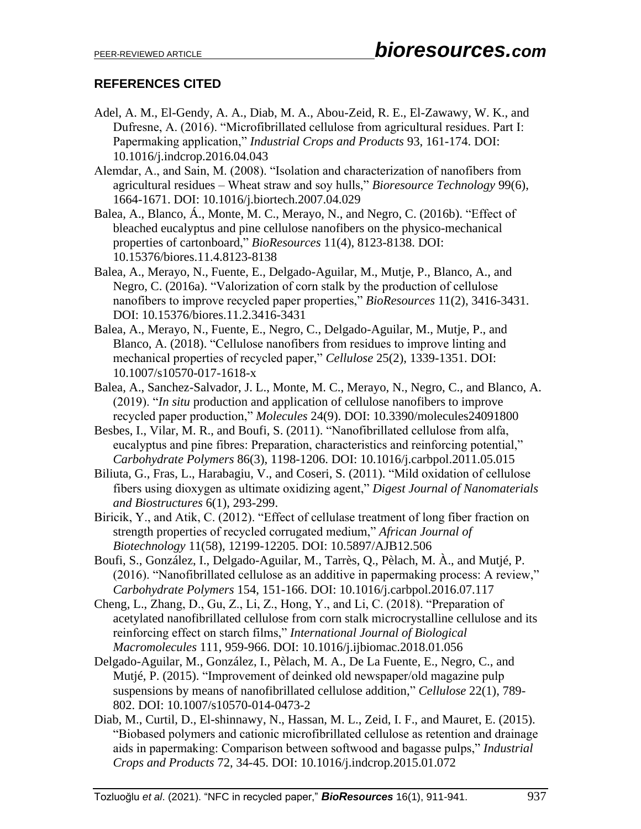# **REFERENCES CITED**

- Adel, A. M., El-Gendy, A. A., Diab, M. A., Abou-Zeid, R. E., El-Zawawy, W. K., and Dufresne, A. (2016). "Microfibrillated cellulose from agricultural residues. Part I: Papermaking application," *Industrial Crops and Products* 93, 161-174. DOI: 10.1016/j.indcrop.2016.04.043
- Alemdar, A., and Sain, M. (2008). "Isolation and characterization of nanofibers from agricultural residues – Wheat straw and soy hulls," *Bioresource Technology* 99(6), 1664-1671. DOI: 10.1016/j.biortech.2007.04.029
- Balea, A., Blanco, Á., Monte, M. C., Merayo, N., and Negro, C. (2016b). "Effect of bleached eucalyptus and pine cellulose nanofibers on the physico-mechanical properties of cartonboard," *BioResources* 11(4), 8123-8138. DOI: 10.15376/biores.11.4.8123-8138
- Balea, A., Merayo, N., Fuente, E., Delgado-Aguilar, M., Mutje, P., Blanco, A., and Negro, C. (2016a). "Valorization of corn stalk by the production of cellulose nanofibers to improve recycled paper properties," *BioResources* 11(2), 3416-3431. DOI: 10.15376/biores.11.2.3416-3431
- Balea, A., Merayo, N., Fuente, E., Negro, C., Delgado-Aguilar, M., Mutje, P., and Blanco, A. (2018). "Cellulose nanofibers from residues to improve linting and mechanical properties of recycled paper," *Cellulose* 25(2), 1339-1351. DOI: 10.1007/s10570-017-1618-x
- Balea, A., Sanchez-Salvador, J. L., Monte, M. C., Merayo, N., Negro, C., and Blanco, A. (2019). "*In situ* production and application of cellulose nanofibers to improve recycled paper production," *Molecules* 24(9). DOI: 10.3390/molecules24091800
- Besbes, I., Vilar, M. R., and Boufi, S. (2011). "Nanofibrillated cellulose from alfa, eucalyptus and pine fibres: Preparation, characteristics and reinforcing potential," *Carbohydrate Polymers* 86(3), 1198-1206. DOI: 10.1016/j.carbpol.2011.05.015
- Biliuta, G., Fras, L., Harabagiu, V., and Coseri, S. (2011). "Mild oxidation of cellulose fibers using dioxygen as ultimate oxidizing agent," *Digest Journal of Nanomaterials and Biostructures* 6(1), 293-299.
- Biricik, Y., and Atik, C. (2012). "Effect of cellulase treatment of long fiber fraction on strength properties of recycled corrugated medium," *African Journal of Biotechnology* 11(58), 12199-12205. DOI: 10.5897/AJB12.506
- Boufi, S., González, I., Delgado-Aguilar, M., Tarrès, Q., Pèlach, M. À., and Mutjé, P. (2016). "Nanofibrillated cellulose as an additive in papermaking process: A review," *Carbohydrate Polymers* 154, 151-166. DOI: 10.1016/j.carbpol.2016.07.117
- Cheng, L., Zhang, D., Gu, Z., Li, Z., Hong, Y., and Li, C. (2018). "Preparation of acetylated nanofibrillated cellulose from corn stalk microcrystalline cellulose and its reinforcing effect on starch films," *International Journal of Biological Macromolecules* 111, 959-966. DOI: 10.1016/j.ijbiomac.2018.01.056
- Delgado-Aguilar, M., González, I., Pèlach, M. A., De La Fuente, E., Negro, C., and Mutjé, P. (2015). "Improvement of deinked old newspaper/old magazine pulp suspensions by means of nanofibrillated cellulose addition," *Cellulose* 22(1), 789- 802. DOI: 10.1007/s10570-014-0473-2
- Diab, M., Curtil, D., El-shinnawy, N., Hassan, M. L., Zeid, I. F., and Mauret, E. (2015). "Biobased polymers and cationic microfibrillated cellulose as retention and drainage aids in papermaking: Comparison between softwood and bagasse pulps," *Industrial Crops and Products* 72, 34-45. DOI: 10.1016/j.indcrop.2015.01.072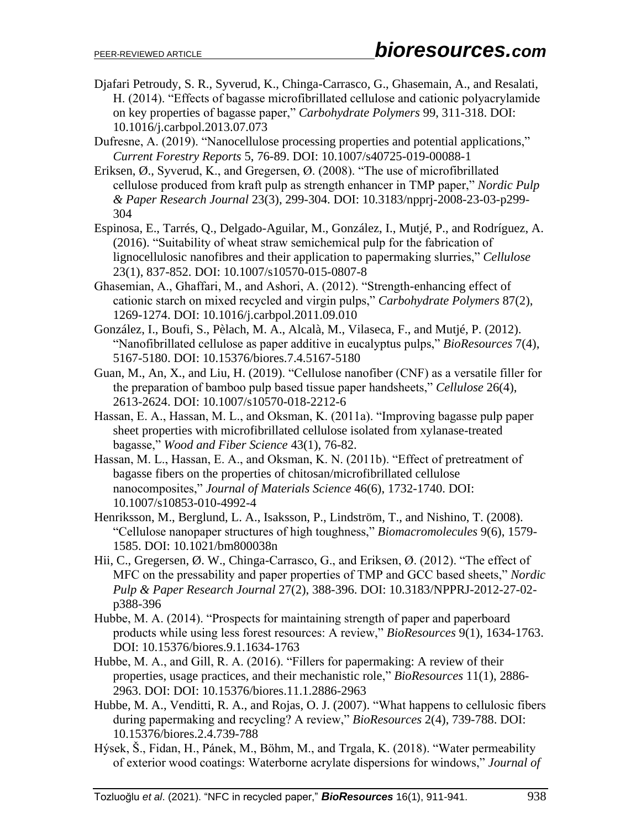- Djafari Petroudy, S. R., Syverud, K., Chinga-Carrasco, G., Ghasemain, A., and Resalati, H. (2014). "Effects of bagasse microfibrillated cellulose and cationic polyacrylamide on key properties of bagasse paper," *Carbohydrate Polymers* 99, 311-318. DOI: 10.1016/j.carbpol.2013.07.073
- Dufresne, A. (2019). "Nanocellulose processing properties and potential applications," *Current Forestry Reports* 5, 76-89. DOI: 10.1007/s40725-019-00088-1
- Eriksen, Ø., Syverud, K., and Gregersen, Ø. (2008). "The use of microfibrillated cellulose produced from kraft pulp as strength enhancer in TMP paper," *Nordic Pulp & Paper Research Journal* 23(3), 299-304. DOI: 10.3183/npprj-2008-23-03-p299- 304
- Espinosa, E., Tarrés, Q., Delgado-Aguilar, M., González, I., Mutjé, P., and Rodríguez, A. (2016). "Suitability of wheat straw semichemical pulp for the fabrication of lignocellulosic nanofibres and their application to papermaking slurries," *Cellulose* 23(1), 837-852. DOI: 10.1007/s10570-015-0807-8
- Ghasemian, A., Ghaffari, M., and Ashori, A. (2012). "Strength-enhancing effect of cationic starch on mixed recycled and virgin pulps," *Carbohydrate Polymers* 87(2), 1269-1274. DOI: 10.1016/j.carbpol.2011.09.010
- González, I., Boufi, S., Pèlach, M. A., Alcalà, M., Vilaseca, F., and Mutjé, P. (2012). "Nanofibrillated cellulose as paper additive in eucalyptus pulps," *BioResources* 7(4), 5167-5180. DOI: 10.15376/biores.7.4.5167-5180
- Guan, M., An, X., and Liu, H. (2019). "Cellulose nanofiber (CNF) as a versatile filler for the preparation of bamboo pulp based tissue paper handsheets," *Cellulose* 26(4), 2613-2624. DOI: 10.1007/s10570-018-2212-6
- Hassan, E. A., Hassan, M. L., and Oksman, K. (2011a). "Improving bagasse pulp paper sheet properties with microfibrillated cellulose isolated from xylanase-treated bagasse," *Wood and Fiber Science* 43(1), 76-82.
- Hassan, M. L., Hassan, E. A., and Oksman, K. N. (2011b). "Effect of pretreatment of bagasse fibers on the properties of chitosan/microfibrillated cellulose nanocomposites," *Journal of Materials Science* 46(6), 1732-1740. DOI: 10.1007/s10853-010-4992-4
- Henriksson, M., Berglund, L. A., Isaksson, P., Lindström, T., and Nishino, T. (2008). "Cellulose nanopaper structures of high toughness," *Biomacromolecules* 9(6), 1579- 1585. DOI: 10.1021/bm800038n
- Hii, C., Gregersen, Ø. W., Chinga-Carrasco, G., and Eriksen, Ø. (2012). "The effect of MFC on the pressability and paper properties of TMP and GCC based sheets," *Nordic Pulp & Paper Research Journal* 27(2), 388-396. DOI: 10.3183/NPPRJ-2012-27-02 p388-396
- Hubbe, M. A. (2014). "Prospects for maintaining strength of paper and paperboard products while using less forest resources: A review," *BioResources* 9(1), 1634-1763. DOI: 10.15376/biores.9.1.1634-1763
- Hubbe, M. A., and Gill, R. A. (2016). "Fillers for papermaking: A review of their properties, usage practices, and their mechanistic role," *BioResources* 11(1), 2886- 2963. DOI: DOI: 10.15376/biores.11.1.2886-2963
- Hubbe, M. A., Venditti, R. A., and Rojas, O. J. (2007). "What happens to cellulosic fibers during papermaking and recycling? A review," *BioResources* 2(4), 739-788. DOI: 10.15376/biores.2.4.739-788
- Hýsek, Š., Fidan, H., Pánek, M., Böhm, M., and Trgala, K. (2018). "Water permeability of exterior wood coatings: Waterborne acrylate dispersions for windows," *Journal of*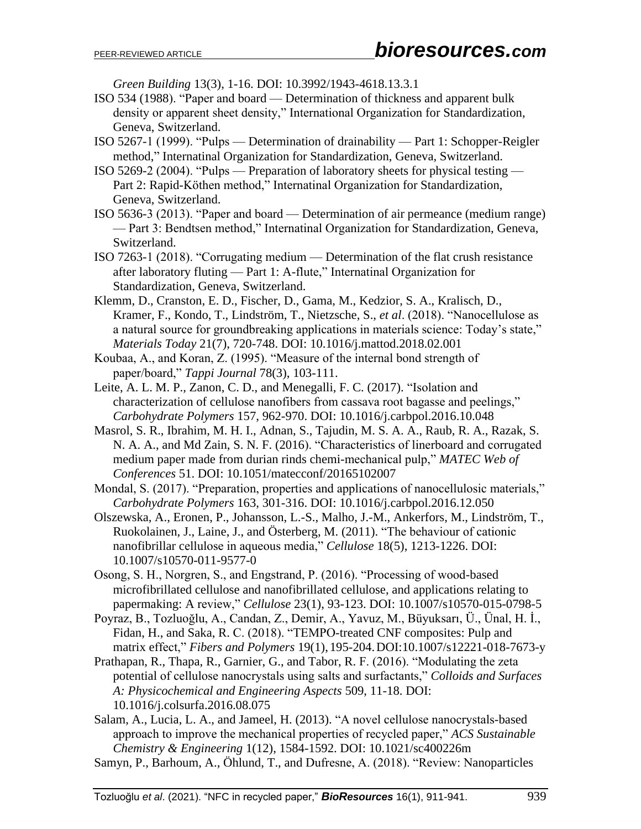*Green Building* 13(3), 1-16. DOI: 10.3992/1943-4618.13.3.1

- ISO 534 (1988). "Paper and board Determination of thickness and apparent bulk density or apparent sheet density," International Organization for Standardization, Geneva, Switzerland.
- ISO 5267-1 (1999). "Pulps Determination of drainability Part 1: Schopper-Reigler method," Internatinal Organization for Standardization, Geneva, Switzerland.
- ISO 5269-2 (2004). "Pulps Preparation of laboratory sheets for physical testing Part 2: Rapid-Köthen method," Internatinal Organization for Standardization, Geneva, Switzerland.
- ISO 5636-3 (2013). "Paper and board Determination of air permeance (medium range) — Part 3: Bendtsen method," Internatinal Organization for Standardization, Geneva, Switzerland.
- ISO 7263-1 (2018). "Corrugating medium Determination of the flat crush resistance after laboratory fluting — Part 1: A-flute," Internatinal Organization for Standardization, Geneva, Switzerland.
- Klemm, D., Cranston, E. D., Fischer, D., Gama, M., Kedzior, S. A., Kralisch, D., Kramer, F., Kondo, T., Lindström, T., Nietzsche, S., *et al*. (2018). "Nanocellulose as a natural source for groundbreaking applications in materials science: Today's state," *Materials Today* 21(7), 720-748. DOI: 10.1016/j.mattod.2018.02.001
- Koubaa, A., and Koran, Z. (1995). "Measure of the internal bond strength of paper/board," *Tappi Journal* 78(3), 103-111.
- Leite, A. L. M. P., Zanon, C. D., and Menegalli, F. C. (2017). "Isolation and characterization of cellulose nanofibers from cassava root bagasse and peelings," *Carbohydrate Polymers* 157, 962-970. DOI: 10.1016/j.carbpol.2016.10.048
- Masrol, S. R., Ibrahim, M. H. I., Adnan, S., Tajudin, M. S. A. A., Raub, R. A., Razak, S. N. A. A., and Md Zain, S. N. F. (2016). "Characteristics of linerboard and corrugated medium paper made from durian rinds chemi-mechanical pulp," *MATEC Web of Conferences* 51. DOI: 10.1051/matecconf/20165102007
- Mondal, S. (2017). "Preparation, properties and applications of nanocellulosic materials," *Carbohydrate Polymers* 163, 301-316. DOI: 10.1016/j.carbpol.2016.12.050
- Olszewska, A., Eronen, P., Johansson, L.-S., Malho, J.-M., Ankerfors, M., Lindström, T., Ruokolainen, J., Laine, J., and Österberg, M. (2011). "The behaviour of cationic nanofibrillar cellulose in aqueous media," *Cellulose* 18(5), 1213-1226. DOI: 10.1007/s10570-011-9577-0
- Osong, S. H., Norgren, S., and Engstrand, P. (2016). "Processing of wood-based microfibrillated cellulose and nanofibrillated cellulose, and applications relating to papermaking: A review," *Cellulose* 23(1), 93-123. DOI: 10.1007/s10570-015-0798-5
- Poyraz, B., Tozluoğlu, A., Candan, Z., Demir, A., Yavuz, M., Büyuksarı, Ü., Ünal, H. İ., Fidan, H., and Saka, R. C. (2018). "TEMPO-treated CNF composites: Pulp and matrix effect," *Fibers and Polymers* 19(1), 195-204.DOI:10.1007/s12221-018-7673-y
- Prathapan, R., Thapa, R., Garnier, G., and Tabor, R. F. (2016). "Modulating the zeta potential of cellulose nanocrystals using salts and surfactants," *Colloids and Surfaces A: Physicochemical and Engineering Aspects* 509, 11-18. DOI: 10.1016/j.colsurfa.2016.08.075

Salam, A., Lucia, L. A., and Jameel, H. (2013). "A novel cellulose nanocrystals-based approach to improve the mechanical properties of recycled paper," *ACS Sustainable Chemistry & Engineering* 1(12), 1584-1592. DOI: 10.1021/sc400226m

Samyn, P., Barhoum, A., Öhlund, T., and Dufresne, A. (2018). "Review: Nanoparticles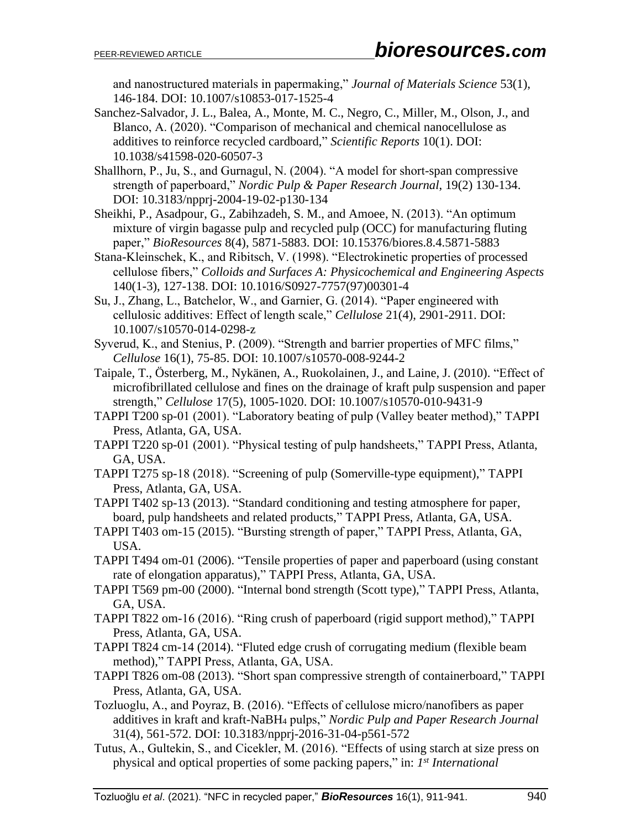and nanostructured materials in papermaking," *Journal of Materials Science* 53(1), 146-184. DOI: 10.1007/s10853-017-1525-4

- Sanchez-Salvador, J. L., Balea, A., Monte, M. C., Negro, C., Miller, M., Olson, J., and Blanco, A. (2020). "Comparison of mechanical and chemical nanocellulose as additives to reinforce recycled cardboard," *Scientific Reports* 10(1). DOI: 10.1038/s41598-020-60507-3
- Shallhorn, P., Ju, S., and Gurnagul, N. (2004). "A model for short-span compressive strength of paperboard," *Nordic Pulp & Paper Research Journal*, 19(2) 130-134. DOI: 10.3183/npprj-2004-19-02-p130-134
- Sheikhi, P., Asadpour, G., Zabihzadeh, S. M., and Amoee, N. (2013). "An optimum mixture of virgin bagasse pulp and recycled pulp (OCC) for manufacturing fluting paper," *BioResources* 8(4), 5871-5883. DOI: 10.15376/biores.8.4.5871-5883
- Stana-Kleinschek, K., and Ribitsch, V. (1998). "Electrokinetic properties of processed cellulose fibers," *Colloids and Surfaces A: Physicochemical and Engineering Aspects* 140(1-3), 127-138. DOI: 10.1016/S0927-7757(97)00301-4
- Su, J., Zhang, L., Batchelor, W., and Garnier, G. (2014). "Paper engineered with cellulosic additives: Effect of length scale," *Cellulose* 21(4), 2901-2911. DOI: 10.1007/s10570-014-0298-z
- Syverud, K., and Stenius, P. (2009). "Strength and barrier properties of MFC films," *Cellulose* 16(1), 75-85. DOI: 10.1007/s10570-008-9244-2
- Taipale, T., Österberg, M., Nykänen, A., Ruokolainen, J., and Laine, J. (2010). "Effect of microfibrillated cellulose and fines on the drainage of kraft pulp suspension and paper strength," *Cellulose* 17(5), 1005-1020. DOI: 10.1007/s10570-010-9431-9
- TAPPI T200 sp-01 (2001). "Laboratory beating of pulp (Valley beater method)," TAPPI Press, Atlanta, GA, USA.
- TAPPI T220 sp-01 (2001). "Physical testing of pulp handsheets," TAPPI Press, Atlanta, GA, USA.
- TAPPI T275 sp-18 (2018). "Screening of pulp (Somerville-type equipment)," TAPPI Press, Atlanta, GA, USA.
- TAPPI T402 sp-13 (2013). "Standard conditioning and testing atmosphere for paper, board, pulp handsheets and related products," TAPPI Press, Atlanta, GA, USA.
- TAPPI T403 om-15 (2015). "Bursting strength of paper," TAPPI Press, Atlanta, GA, USA.
- TAPPI T494 om-01 (2006). "Tensile properties of paper and paperboard (using constant rate of elongation apparatus)," TAPPI Press, Atlanta, GA, USA.
- TAPPI T569 pm-00 (2000). "Internal bond strength (Scott type)," TAPPI Press, Atlanta, GA, USA.
- TAPPI T822 om-16 (2016). "Ring crush of paperboard (rigid support method)," TAPPI Press, Atlanta, GA, USA.
- TAPPI T824 cm-14 (2014). "Fluted edge crush of corrugating medium (flexible beam method)," TAPPI Press, Atlanta, GA, USA.
- TAPPI T826 om-08 (2013). "Short span compressive strength of containerboard," TAPPI Press, Atlanta, GA, USA.
- Tozluoglu, A., and Poyraz, B. (2016). "Effects of cellulose micro/nanofibers as paper additives in kraft and kraft-NaBH<sup>4</sup> pulps," *Nordic Pulp and Paper Research Journal* 31(4), 561-572. DOI: 10.3183/npprj-2016-31-04-p561-572
- Tutus, A., Gultekin, S., and Cicekler, M. (2016). "Effects of using starch at size press on physical and optical properties of some packing papers," in: *1 st International*